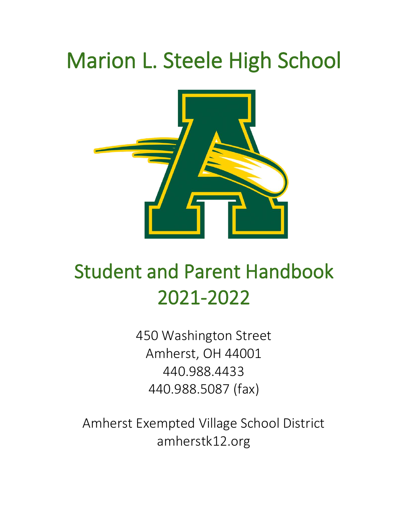# Marion L. Steele High School



# Student and Parent Handbook 2021-2022

450 Washington Street Amherst, OH 44001 440.988.4433 440.988.5087 (fax)

Amherst Exempted Village School District amherstk12.org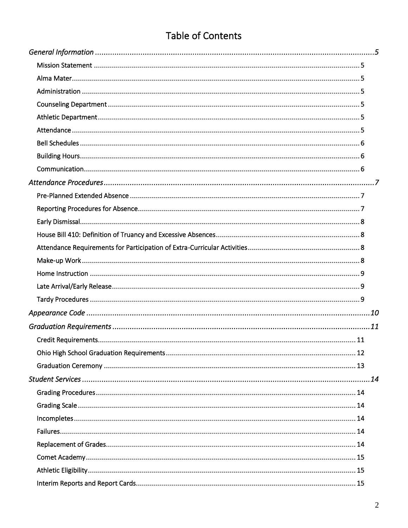# **Table of Contents**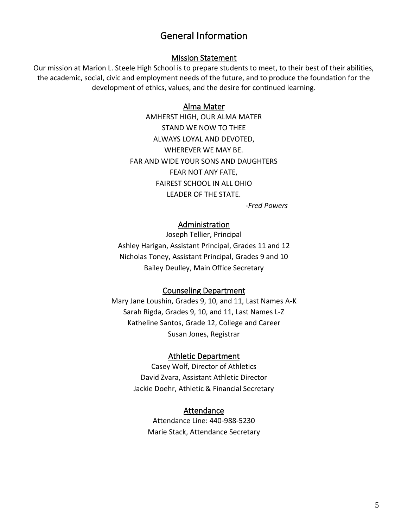## General Information

#### Mission Statement

<span id="page-4-2"></span><span id="page-4-1"></span><span id="page-4-0"></span>Our mission at Marion L. Steele High School is to prepare students to meet, to their best of their abilities, the academic, social, civic and employment needs of the future, and to produce the foundation for the development of ethics, values, and the desire for continued learning.

#### Alma Mater

AMHERST HIGH, OUR ALMA MATER STAND WE NOW TO THEE ALWAYS LOYAL AND DEVOTED, WHEREVER WE MAY BE. FAR AND WIDE YOUR SONS AND DAUGHTERS FEAR NOT ANY FATE, FAIREST SCHOOL IN ALL OHIO LEADER OF THE STATE.

-*Fred Powers*

#### Administration

<span id="page-4-3"></span>Joseph Tellier, Principal Ashley Harigan, Assistant Principal, Grades 11 and 12 Nicholas Toney, Assistant Principal, Grades 9 and 10 Bailey Deulley, Main Office Secretary

#### Counseling Department

<span id="page-4-5"></span><span id="page-4-4"></span>Mary Jane Loushin, Grades 9, 10, and 11, Last Names A-K Sarah Rigda, Grades 9, 10, and 11, Last Names L-Z Katheline Santos, Grade 12, College and Career Susan Jones, Registrar

#### Athletic Department

<span id="page-4-6"></span>Casey Wolf, Director of Athletics David Zvara, Assistant Athletic Director Jackie Doehr, Athletic & Financial Secretary

#### Attendance

Attendance Line: 440-988-5230 Marie Stack, Attendance Secretary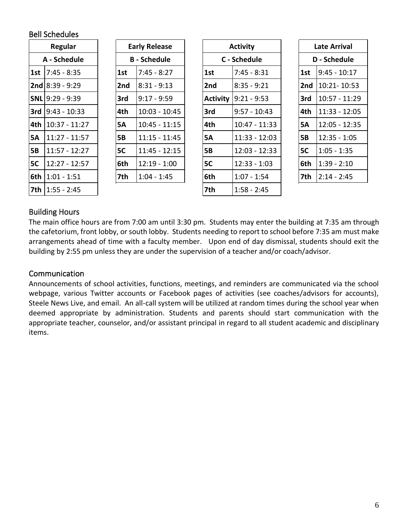## <span id="page-5-0"></span>Bell Schedules

|     | Regular           |  | <b>Early Release</b> |                 |  |                 | <b>Activity</b> |              |
|-----|-------------------|--|----------------------|-----------------|--|-----------------|-----------------|--------------|
|     | A - Schedule      |  | <b>B</b> - Schedule  |                 |  |                 |                 | C - Schedule |
| 1st | $7:45 - 8:35$     |  | 1st                  | $7:45 - 8:27$   |  | 1st             | 7:45 - 8:31     |              |
|     | $2nd$ 8:39 - 9:29 |  | 2nd                  | $8:31 - 9:13$   |  | 2 <sub>nd</sub> | $8:35 - 9:21$   |              |
|     | $SNL$ 9:29 - 9:39 |  | 3rd                  | $9:17 - 9:59$   |  | <b>Activity</b> | $9:21 - 9:53$   |              |
| 3rd | $9:43 - 10:33$    |  | 4th                  | $10:03 - 10:45$ |  | 3rd             | $9:57 - 10:43$  |              |
| 4th | $10:37 - 11:27$   |  | <b>5A</b>            | $10:45 - 11:15$ |  | 4th             | 10:47 - 11:33   |              |
| 5А  | $11:27 - 11:57$   |  | <b>5B</b>            | $11:15 - 11:45$ |  | 5A              | 11:33 - 12:03   |              |
| 5В  | $11:57 - 12:27$   |  | 5C                   | $11:45 - 12:15$ |  | <b>5B</b>       | 12:03 - 12:33   |              |
| 5C  | $12:27 - 12:57$   |  | 6th                  | $12:19 - 1:00$  |  | 5C              | $12:33 - 1:03$  |              |
| 6th | $1:01 - 1:51$     |  | 7th                  | $1:04 - 1:45$   |  | 6th             | $1:07 - 1:54$   |              |
| 7th | 1:55 - 2:45       |  |                      |                 |  | 7th             | $1:58 - 2:45$   |              |

| <b>Early Release</b> |                     |  |  |  |
|----------------------|---------------------|--|--|--|
|                      | <b>B</b> - Schedule |  |  |  |
| 1st                  | $7:45 - 8:27$       |  |  |  |
| 2nd                  | $8:31 - 9:13$       |  |  |  |
| 3rd                  | $9:17 - 9:59$       |  |  |  |
| 4th                  | $10:03 - 10:45$     |  |  |  |
| 5Α                   | $10:45 - 11:15$     |  |  |  |
| 5Β                   | $11:15 - 11:45$     |  |  |  |
| 5С                   | 11:45 - 12:15       |  |  |  |
| 6th                  | 12:19 - 1:00        |  |  |  |
| 7th                  | 1:04 - 1:45         |  |  |  |

| Regular |                          | <b>Early Release</b><br><b>Activity</b> |           |                     |                 | <b>Late Arrival</b> |  |           |                     |
|---------|--------------------------|-----------------------------------------|-----------|---------------------|-----------------|---------------------|--|-----------|---------------------|
|         | A - Schedule             |                                         |           | <b>B</b> - Schedule |                 | C - Schedule        |  |           | <b>D</b> - Schedule |
| 1st     | $7:45 - 8:35$            |                                         | 1st       | $7:45 - 8:27$       | 1st             | $7:45 - 8:31$       |  | 1st       | $9:45 - 10:17$      |
|         | <b>2nd</b> 8:39 - 9:29   |                                         | 2nd       | $8:31 - 9:13$       | 2nd             | $8:35 - 9:21$       |  | 2nd       | 10:21-10:53         |
|         | SNL 9:29 - 9:39          |                                         | 3rd       | $9:17 - 9:59$       | <b>Activity</b> | $9:21 - 9:53$       |  | 3rd       | $10:57 - 11:29$     |
|         | <b>3rd</b> 9:43 - 10:33  |                                         | 4th       | $10:03 - 10:45$     | 3rd             | $9:57 - 10:43$      |  | 4th       | 11:33 - 12:05       |
|         | 4th  10:37 - 11:27       |                                         | <b>5A</b> | $10:45 - 11:15$     | 4th             | 10:47 - 11:33       |  | <b>5A</b> | 12:05 - 12:35       |
| 5Α      | 11:27 - 11:57            |                                         | <b>5B</b> | $11:15 - 11:45$     | <b>5A</b>       | $11:33 - 12:03$     |  | <b>5B</b> | $12:35 - 1:05$      |
| 5В      | $11:57 - 12:27$          |                                         | 5C        | $11:45 - 12:15$     | <b>5B</b>       | $12:03 - 12:33$     |  | 5C        | $1:05 - 1:35$       |
| 5C      | 12:27 - 12:57            |                                         | 6th       | $12:19 - 1:00$      | 5C              | $12:33 - 1:03$      |  | 6th       | $1:39 - 2:10$       |
|         | <b>6th   1:01 - 1:51</b> |                                         | 7th       | $1:04 - 1:45$       | 6th             | $1:07 - 1:54$       |  | 7th       | $2:14 - 2:45$       |
|         | $7 + h$ $1.55 - 7.45$    |                                         |           |                     | 7 <sub>th</sub> | $1.50 - 7.45$       |  |           |                     |

| Late Arrival    |                |  |  |  |
|-----------------|----------------|--|--|--|
|                 | D - Schedule   |  |  |  |
| 1st             | $9:45 - 10:17$ |  |  |  |
| 2 <sub>nd</sub> | 10:21-10:53    |  |  |  |
| 3rd             | 10:57 - 11:29  |  |  |  |
| 4th             | 11:33 - 12:05  |  |  |  |
| 5А              | 12:05 - 12:35  |  |  |  |
| 5Β              | $12:35 - 1:05$ |  |  |  |
| 5C              | $1:05 - 1:35$  |  |  |  |
| 6th             | $1:39 - 2:10$  |  |  |  |
| 7th             | $2:14 - 2:45$  |  |  |  |

## <span id="page-5-1"></span>Building Hours

The main office hours are from 7:00 am until 3:30 pm. Students may enter the building at 7:35 am through the cafetorium, front lobby, or south lobby. Students needing to report to school before 7:35 am must make arrangements ahead of time with a faculty member. Upon end of day dismissal, students should exit the building by 2:55 pm unless they are under the supervision of a teacher and/or coach/advisor.

## <span id="page-5-2"></span>Communication

Announcements of school activities, functions, meetings, and reminders are communicated via the school webpage, various Twitter accounts or Facebook pages of activities (see coaches/advisors for accounts), Steele News Live, and email. An all-call system will be utilized at random times during the school year when deemed appropriate by administration. Students and parents should start communication with the appropriate teacher, counselor, and/or assistant principal in regard to all student academic and disciplinary items.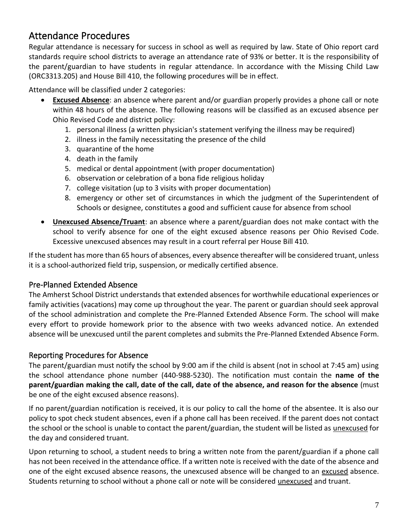# <span id="page-6-0"></span>Attendance Procedures

Regular attendance is necessary for success in school as well as required by law. State of Ohio report card standards require school districts to average an attendance rate of 93% or better. It is the responsibility of the parent/guardian to have students in regular attendance. In accordance with the Missing Child Law (ORC3313.205) and House Bill 410, the following procedures will be in effect.

Attendance will be classified under 2 categories:

- **Excused Absence**: an absence where parent and/or guardian properly provides a phone call or note within 48 hours of the absence. The following reasons will be classified as an excused absence per Ohio Revised Code and district policy:
	- 1. personal illness (a written physician's statement verifying the illness may be required)
	- 2. illness in the family necessitating the presence of the child
	- 3. quarantine of the home
	- 4. death in the family
	- 5. medical or dental appointment (with proper documentation)
	- 6. observation or celebration of a bona fide religious holiday
	- 7. college visitation (up to 3 visits with proper documentation)
	- 8. emergency or other set of circumstances in which the judgment of the Superintendent of Schools or designee, constitutes a good and sufficient cause for absence from school
- **Unexcused Absence/Truant**: an absence where a parent/guardian does not make contact with the school to verify absence for one of the eight excused absence reasons per Ohio Revised Code. Excessive unexcused absences may result in a court referral per House Bill 410.

If the student has more than 65 hours of absences, every absence thereafter will be considered truant, unless it is a school-authorized field trip, suspension, or medically certified absence.

## <span id="page-6-1"></span>Pre-Planned Extended Absence

The Amherst School District understands that extended absences for worthwhile educational experiences or family activities (vacations) may come up throughout the year. The parent or guardian should seek approval of the school administration and complete the Pre-Planned Extended Absence Form. The school will make every effort to provide homework prior to the absence with two weeks advanced notice. An extended absence will be unexcused until the parent completes and submits the Pre-Planned Extended Absence Form.

## <span id="page-6-2"></span>Reporting Procedures for Absence

The parent/guardian must notify the school by 9:00 am if the child is absent (not in school at 7:45 am) using the school attendance phone number (440-988-5230). The notification must contain the **name of the parent/guardian making the call, date of the call, date of the absence, and reason for the absence** (must be one of the eight excused absence reasons).

If no parent/guardian notification is received, it is our policy to call the home of the absentee. It is also our policy to spot check student absences, even if a phone call has been received. If the parent does not contact the school or the school is unable to contact the parent/guardian, the student will be listed as unexcused for the day and considered truant.

Upon returning to school, a student needs to bring a written note from the parent/guardian if a phone call has not been received in the attendance office. If a written note is received with the date of the absence and one of the eight excused absence reasons, the unexcused absence will be changed to an excused absence. Students returning to school without a phone call or note will be considered unexcused and truant.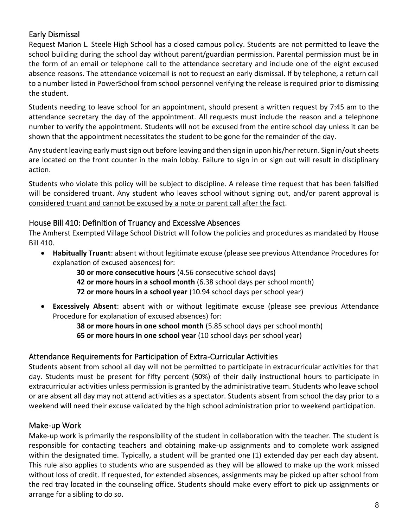## <span id="page-7-0"></span>Early Dismissal

Request Marion L. Steele High School has a closed campus policy. Students are not permitted to leave the school building during the school day without parent/guardian permission. Parental permission must be in the form of an email or telephone call to the attendance secretary and include one of the eight excused absence reasons. The attendance voicemail is not to request an early dismissal. If by telephone, a return call to a number listed in PowerSchool from school personnel verifying the release is required prior to dismissing the student.

Students needing to leave school for an appointment, should present a written request by 7:45 am to the attendance secretary the day of the appointment. All requests must include the reason and a telephone number to verify the appointment. Students will not be excused from the entire school day unless it can be shown that the appointment necessitates the student to be gone for the remainder of the day.

Any student leaving early must sign out before leaving and then sign in upon his/her return. Sign in/out sheets are located on the front counter in the main lobby. Failure to sign in or sign out will result in disciplinary action.

Students who violate this policy will be subject to discipline. A release time request that has been falsified will be considered truant. Any student who leaves school without signing out, and/or parent approval is considered truant and cannot be excused by a note or parent call after the fact.

## <span id="page-7-1"></span>House Bill 410: Definition of Truancy and Excessive Absences

The Amherst Exempted Village School District will follow the policies and procedures as mandated by House Bill 410.

• **Habitually Truant**: absent without legitimate excuse (please see previous Attendance Procedures for explanation of excused absences) for:

> **30 or more consecutive hours** (4.56 consecutive school days) **42 or more hours in a school month** (6.38 school days per school month) **72 or more hours in a school year** (10.94 school days per school year)

• **Excessively Absent**: absent with or without legitimate excuse (please see previous Attendance Procedure for explanation of excused absences) for:

> **38 or more hours in one school month** (5.85 school days per school month) **65 or more hours in one school year** (10 school days per school year)

## <span id="page-7-2"></span>Attendance Requirements for Participation of Extra-Curricular Activities

Students absent from school all day will not be permitted to participate in extracurricular activities for that day. Students must be present for fifty percent (50%) of their daily instructional hours to participate in extracurricular activities unless permission is granted by the administrative team. Students who leave school or are absent all day may not attend activities as a spectator. Students absent from school the day prior to a weekend will need their excuse validated by the high school administration prior to weekend participation.

## <span id="page-7-3"></span>Make-up Work

Make-up work is primarily the responsibility of the student in collaboration with the teacher. The student is responsible for contacting teachers and obtaining make-up assignments and to complete work assigned within the designated time. Typically, a student will be granted one (1) extended day per each day absent. This rule also applies to students who are suspended as they will be allowed to make up the work missed without loss of credit. If requested, for extended absences, assignments may be picked up after school from the red tray located in the counseling office. Students should make every effort to pick up assignments or arrange for a sibling to do so.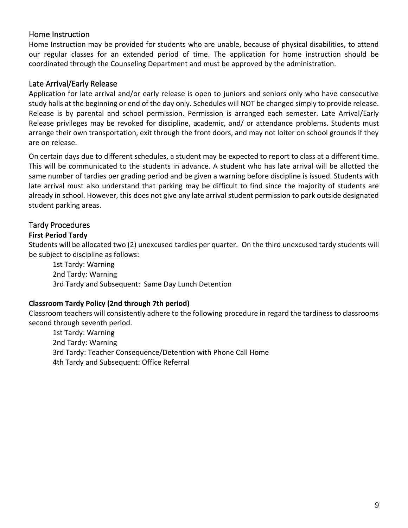## <span id="page-8-0"></span>Home Instruction

Home Instruction may be provided for students who are unable, because of physical disabilities, to attend our regular classes for an extended period of time. The application for home instruction should be coordinated through the Counseling Department and must be approved by the administration.

#### <span id="page-8-1"></span>Late Arrival/Early Release

Application for late arrival and/or early release is open to juniors and seniors only who have consecutive study halls at the beginning or end of the day only. Schedules will NOT be changed simply to provide release. Release is by parental and school permission. Permission is arranged each semester. Late Arrival/Early Release privileges may be revoked for discipline, academic, and/ or attendance problems. Students must arrange their own transportation, exit through the front doors, and may not loiter on school grounds if they are on release.

On certain days due to different schedules, a student may be expected to report to class at a different time. This will be communicated to the students in advance. A student who has late arrival will be allotted the same number of tardies per grading period and be given a warning before discipline is issued. Students with late arrival must also understand that parking may be difficult to find since the majority of students are already in school. However, this does not give any late arrival student permission to park outside designated student parking areas.

## <span id="page-8-2"></span>Tardy Procedures

#### **First Period Tardy**

Students will be allocated two (2) unexcused tardies per quarter. On the third unexcused tardy students will be subject to discipline as follows:

1st Tardy: Warning 2nd Tardy: Warning 3rd Tardy and Subsequent: Same Day Lunch Detention

#### **Classroom Tardy Policy (2nd through 7th period)**

Classroom teachers will consistently adhere to the following procedure in regard the tardiness to classrooms second through seventh period.

1st Tardy: Warning 2nd Tardy: Warning 3rd Tardy: Teacher Consequence/Detention with Phone Call Home 4th Tardy and Subsequent: Office Referral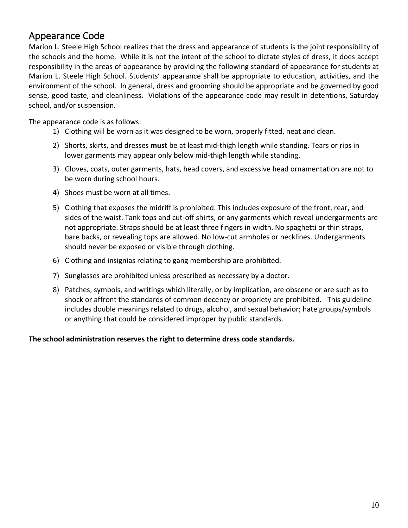## <span id="page-9-0"></span>Appearance Code

Marion L. Steele High School realizes that the dress and appearance of students is the joint responsibility of the schools and the home. While it is not the intent of the school to dictate styles of dress, it does accept responsibility in the areas of appearance by providing the following standard of appearance for students at Marion L. Steele High School. Students' appearance shall be appropriate to education, activities, and the environment of the school. In general, dress and grooming should be appropriate and be governed by good sense, good taste, and cleanliness. Violations of the appearance code may result in detentions, Saturday school, and/or suspension.

The appearance code is as follows:

- 1) Clothing will be worn as it was designed to be worn, properly fitted, neat and clean.
- 2) Shorts, skirts, and dresses **must** be at least mid-thigh length while standing. Tears or rips in lower garments may appear only below mid-thigh length while standing.
- 3) Gloves, coats, outer garments, hats, head covers, and excessive head ornamentation are not to be worn during school hours.
- 4) Shoes must be worn at all times.
- 5) Clothing that exposes the midriff is prohibited. This includes exposure of the front, rear, and sides of the waist. Tank tops and cut-off shirts, or any garments which reveal undergarments are not appropriate. Straps should be at least three fingers in width. No spaghetti or thin straps, bare backs, or revealing tops are allowed. No low-cut armholes or necklines. Undergarments should never be exposed or visible through clothing.
- 6) Clothing and insignias relating to gang membership are prohibited.
- 7) Sunglasses are prohibited unless prescribed as necessary by a doctor.
- 8) Patches, symbols, and writings which literally, or by implication, are obscene or are such as to shock or affront the standards of common decency or propriety are prohibited. This guideline includes double meanings related to drugs, alcohol, and sexual behavior; hate groups/symbols or anything that could be considered improper by public standards.

#### **The school administration reserves the right to determine dress code standards.**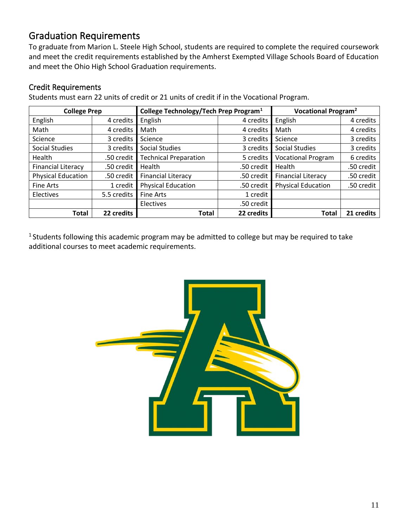# <span id="page-10-0"></span>Graduation Requirements

To graduate from Marion L. Steele High School, students are required to complete the required coursework and meet the credit requirements established by the Amherst Exempted Village Schools Board of Education and meet the Ohio High School Graduation requirements.

## <span id="page-10-1"></span>Credit Requirements

Students must earn 22 units of credit or 21 units of credit if in the Vocational Program.

|                           | College Technology/Tech Prep Program <sup>1</sup><br><b>College Prep</b> |                              |            | Vocational Program <sup>2</sup> |            |
|---------------------------|--------------------------------------------------------------------------|------------------------------|------------|---------------------------------|------------|
| English                   | 4 credits                                                                | English                      | 4 credits  | English                         | 4 credits  |
| Math                      | 4 credits                                                                | Math                         | 4 credits  | Math                            | 4 credits  |
| Science                   | 3 credits                                                                | Science                      | 3 credits  | Science                         | 3 credits  |
| <b>Social Studies</b>     | 3 credits                                                                | <b>Social Studies</b>        | 3 credits  | <b>Social Studies</b>           | 3 credits  |
| Health                    | .50 credit                                                               | <b>Technical Preparation</b> | 5 credits  | <b>Vocational Program</b>       | 6 credits  |
| <b>Financial Literacy</b> | .50 credit                                                               | Health                       | .50 credit | Health                          | .50 credit |
| <b>Physical Education</b> | .50 credit                                                               | <b>Financial Literacy</b>    | .50 credit | <b>Financial Literacy</b>       | .50 credit |
| <b>Fine Arts</b>          | 1 credit                                                                 | <b>Physical Education</b>    | .50 credit | <b>Physical Education</b>       | .50 credit |
| Electives                 | 5.5 credits                                                              | Fine Arts                    | 1 credit   |                                 |            |
|                           |                                                                          | Electives                    | .50 credit |                                 |            |
| <b>Total</b>              | 22 credits                                                               | Total                        | 22 credits | <b>Total</b>                    | 21 credits |

<sup>1</sup> Students following this academic program may be admitted to college but may be required to take additional courses to meet academic requirements.

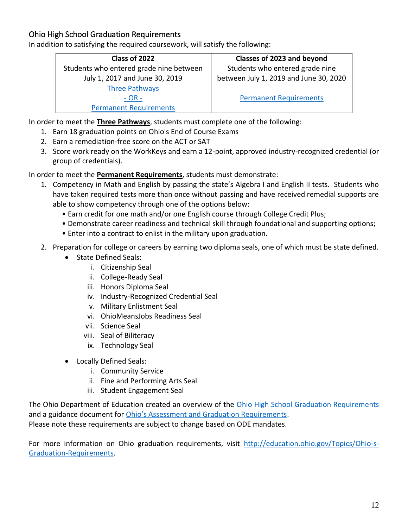## <span id="page-11-0"></span>Ohio High School Graduation Requirements

In addition to satisfying the required coursework, will satisfy the following:

| Class of 2022                           | Classes of 2023 and beyond             |
|-----------------------------------------|----------------------------------------|
| Students who entered grade nine between | Students who entered grade nine        |
| July 1, 2017 and June 30, 2019          | between July 1, 2019 and June 30, 2020 |
| <b>Three Pathways</b>                   |                                        |
| $- OR -$                                | <b>Permanent Requirements</b>          |
| <b>Permanent Requirements</b>           |                                        |

In order to meet the **Three Pathways**, students must complete one of the following:

- 1. Earn 18 graduation points on Ohio's End of Course Exams
- 2. Earn a remediation-free score on the ACT or SAT
- 3. Score work ready on the WorkKeys and earn a 12-point, approved industry-recognized credential (or group of credentials).

In order to meet the **Permanent Requirements**, students must demonstrate:

- 1. Competency in Math and English by passing the state's Algebra I and English II tests. Students who have taken required tests more than once without passing and have received remedial supports are able to show competency through one of the options below:
	- Earn credit for one math and/or one English course through College Credit Plus;
	- Demonstrate career readiness and technical skill through foundational and supporting options;
	- Enter into a contract to enlist in the military upon graduation.
- 2. Preparation for college or careers by earning two diploma seals, one of which must be state defined.
	- State Defined Seals:
		- i. Citizenship Seal
		- ii. College-Ready Seal
		- iii. Honors Diploma Seal
		- iv. Industry-Recognized Credential Seal
		- v. Military Enlistment Seal
		- vi. OhioMeansJobs Readiness Seal
		- vii. Science Seal
		- viii. Seal of Biliteracy
		- ix. Technology Seal
	- Locally Defined Seals:
		- i. Community Service
		- ii. Fine and Performing Arts Seal
		- iii. Student Engagement Seal

The Ohio Department of Education created an overview of the [Ohio High School Graduation Requirements](http://education.ohio.gov/getattachment/Topics/Ohio-s-Graduation-Requirements/Graduation-Req-by-Cohort-Overview.pdf) and a guidance document for [Ohio's Assessment and Graduation Requirements](http://education.ohio.gov/getattachment/Topics/Ohio-s-Graduation-Requirements/Graduation-2021-and-beyond_Guidance-Document.pdf). Please note these requirements are subject to change based on ODE mandates.

For more information on Ohio graduation requirements, visit [http://education.ohio.gov/Topics/Ohio-s-](http://education.ohio.gov/Topics/Ohio-s-Graduation-Requirements)[Graduation-Requirements.](http://education.ohio.gov/Topics/Ohio-s-Graduation-Requirements)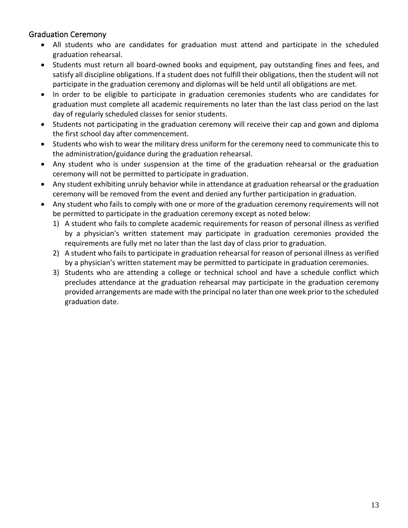## <span id="page-12-0"></span>Graduation Ceremony

- All students who are candidates for graduation must attend and participate in the scheduled graduation rehearsal.
- Students must return all board-owned books and equipment, pay outstanding fines and fees, and satisfy all discipline obligations. If a student does not fulfill their obligations, then the student will not participate in the graduation ceremony and diplomas will be held until all obligations are met.
- In order to be eligible to participate in graduation ceremonies students who are candidates for graduation must complete all academic requirements no later than the last class period on the last day of regularly scheduled classes for senior students.
- Students not participating in the graduation ceremony will receive their cap and gown and diploma the first school day after commencement.
- Students who wish to wear the military dress uniform for the ceremony need to communicate this to the administration/guidance during the graduation rehearsal.
- Any student who is under suspension at the time of the graduation rehearsal or the graduation ceremony will not be permitted to participate in graduation.
- Any student exhibiting unruly behavior while in attendance at graduation rehearsal or the graduation ceremony will be removed from the event and denied any further participation in graduation.
- Any student who fails to comply with one or more of the graduation ceremony requirements will not be permitted to participate in the graduation ceremony except as noted below:
	- 1) A student who fails to complete academic requirements for reason of personal illness as verified by a physician's written statement may participate in graduation ceremonies provided the requirements are fully met no later than the last day of class prior to graduation.
	- 2) A student who fails to participate in graduation rehearsal for reason of personal illness as verified by a physician's written statement may be permitted to participate in graduation ceremonies.
	- 3) Students who are attending a college or technical school and have a schedule conflict which precludes attendance at the graduation rehearsal may participate in the graduation ceremony provided arrangements are made with the principal no later than one week prior to the scheduled graduation date.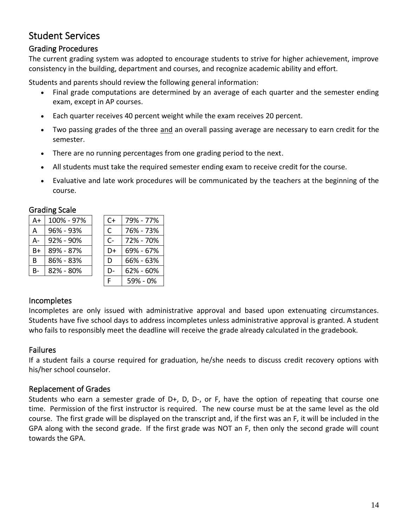# <span id="page-13-0"></span>Student Services

## <span id="page-13-1"></span>Grading Procedures

The current grading system was adopted to encourage students to strive for higher achievement, improve consistency in the building, department and courses, and recognize academic ability and effort.

Students and parents should review the following general information:

- Final grade computations are determined by an average of each quarter and the semester ending exam, except in AP courses.
- Each quarter receives 40 percent weight while the exam receives 20 percent.
- Two passing grades of the three and an overall passing average are necessary to earn credit for the semester.
- There are no running percentages from one grading period to the next.
- All students must take the required semester ending exam to receive credit for the course.
- Evaluative and late work procedures will be communicated by the teachers at the beginning of the course.

|    | ------------- |       |               |
|----|---------------|-------|---------------|
| A+ | 100% - 97%    | $C+$  | 79% - 77%     |
| A  | 96% - 93%     | C     | 76% - 73%     |
| А- | 92% - 90%     | $C -$ | 72% - 70%     |
| B+ | 89% - 87%     | D+    | 69% - 67%     |
| B  | 86% - 83%     | D     | 66% - 63%     |
| B- | 82% - 80%     | D-    | $62\% - 60\%$ |
|    |               | E     | 59% - 0%      |

#### <span id="page-13-2"></span>Grading Scale

## <span id="page-13-3"></span>Incompletes

Incompletes are only issued with administrative approval and based upon extenuating circumstances. Students have five school days to address incompletes unless administrative approval is granted. A student who fails to responsibly meet the deadline will receive the grade already calculated in the gradebook.

## <span id="page-13-4"></span>Failures

If a student fails a course required for graduation, he/she needs to discuss credit recovery options with his/her school counselor.

## <span id="page-13-5"></span>Replacement of Grades

Students who earn a semester grade of D+, D, D-, or F, have the option of repeating that course one time. Permission of the first instructor is required. The new course must be at the same level as the old course. The first grade will be displayed on the transcript and, if the first was an F, it will be included in the GPA along with the second grade. If the first grade was NOT an F, then only the second grade will count towards the GPA.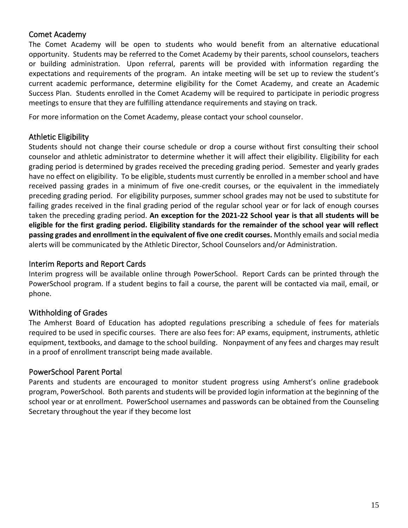## <span id="page-14-0"></span>Comet Academy

The Comet Academy will be open to students who would benefit from an alternative educational opportunity. Students may be referred to the Comet Academy by their parents, school counselors, teachers or building administration. Upon referral, parents will be provided with information regarding the expectations and requirements of the program. An intake meeting will be set up to review the student's current academic performance, determine eligibility for the Comet Academy, and create an Academic Success Plan. Students enrolled in the Comet Academy will be required to participate in periodic progress meetings to ensure that they are fulfilling attendance requirements and staying on track.

For more information on the Comet Academy, please contact your school counselor.

## <span id="page-14-1"></span>Athletic Eligibility

Students should not change their course schedule or drop a course without first consulting their school counselor and athletic administrator to determine whether it will affect their eligibility. Eligibility for each grading period is determined by grades received the preceding grading period. Semester and yearly grades have no effect on eligibility. To be eligible, students must currently be enrolled in a member school and have received passing grades in a minimum of five one-credit courses, or the equivalent in the immediately preceding grading period. For eligibility purposes, summer school grades may not be used to substitute for failing grades received in the final grading period of the regular school year or for lack of enough courses taken the preceding grading period. **An exception for the 2021-22 School year is that all students will be eligible for the first grading period. Eligibility standards for the remainder of the school year will reflect passing grades and enrollment in the equivalent of five one credit courses.** Monthly emails and social media alerts will be communicated by the Athletic Director, School Counselors and/or Administration.

#### <span id="page-14-2"></span>Interim Reports and Report Cards

Interim progress will be available online through PowerSchool. Report Cards can be printed through the PowerSchool program. If a student begins to fail a course, the parent will be contacted via mail, email, or phone.

## <span id="page-14-3"></span>Withholding of Grades

The Amherst Board of Education has adopted regulations prescribing a schedule of fees for materials required to be used in specific courses. There are also fees for: AP exams, equipment, instruments, athletic equipment, textbooks, and damage to the school building. Nonpayment of any fees and charges may result in a proof of enrollment transcript being made available.

#### <span id="page-14-4"></span>PowerSchool Parent Portal

Parents and students are encouraged to monitor student progress using Amherst's online gradebook program, PowerSchool. Both parents and students will be provided login information at the beginning of the school year or at enrollment. PowerSchool usernames and passwords can be obtained from the Counseling Secretary throughout the year if they become lost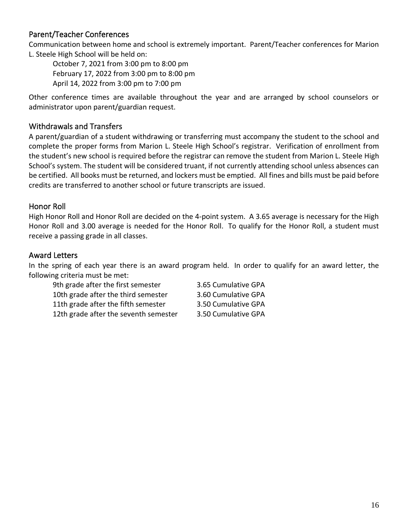## <span id="page-15-0"></span>Parent/Teacher Conferences

Communication between home and school is extremely important. Parent/Teacher conferences for Marion L. Steele High School will be held on:

October 7, 2021 from 3:00 pm to 8:00 pm February 17, 2022 from 3:00 pm to 8:00 pm April 14, 2022 from 3:00 pm to 7:00 pm

Other conference times are available throughout the year and are arranged by school counselors or administrator upon parent/guardian request.

## <span id="page-15-1"></span>Withdrawals and Transfers

A parent/guardian of a student withdrawing or transferring must accompany the student to the school and complete the proper forms from Marion L. Steele High School's registrar. Verification of enrollment from the student's new school is required before the registrar can remove the student from Marion L. Steele High School's system. The student will be considered truant, if not currently attending school unless absences can be certified. All books must be returned, and lockers must be emptied. All fines and bills must be paid before credits are transferred to another school or future transcripts are issued.

## <span id="page-15-2"></span>Honor Roll

High Honor Roll and Honor Roll are decided on the 4-point system. A 3.65 average is necessary for the High Honor Roll and 3.00 average is needed for the Honor Roll. To qualify for the Honor Roll, a student must receive a passing grade in all classes.

## <span id="page-15-3"></span>Award Letters

In the spring of each year there is an award program held. In order to qualify for an award letter, the following criteria must be met:

9th grade after the first semester 3.65 Cumulative GPA 10th grade after the third semester 3.60 Cumulative GPA 11th grade after the fifth semester 3.50 Cumulative GPA 12th grade after the seventh semester 3.50 Cumulative GPA

- 
- 
-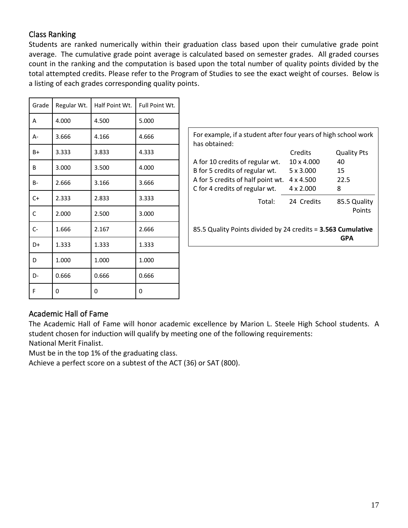## <span id="page-16-0"></span>Class Ranking

Students are ranked numerically within their graduation class based upon their cumulative grade point average. The cumulative grade point average is calculated based on semester grades. All graded courses count in the ranking and the computation is based upon the total number of quality points divided by the total attempted credits. Please refer to the Program of Studies to see the exact weight of courses. Below is a listing of each grades corresponding quality points.

| Grade        | Regular Wt. | Half Point Wt. | Full Point Wt. |
|--------------|-------------|----------------|----------------|
| A            | 4.000       | 4.500          | 5.000          |
| A-           | 3.666       | 4.166          | 4.666          |
| B+           | 3.333       | 3.833          | 4.333          |
| B            | 3.000       | 3.500          | 4.000          |
| $B -$        | 2.666       | 3.166          | 3.666          |
| $C+$         | 2.333       | 2.833          | 3.333          |
| $\mathsf{C}$ | 2.000       | 2.500          | 3.000          |
| $C -$        | 1.666       | 2.167          | 2.666          |
| D+           | 1.333       | 1.333          | 1.333          |
| D            | 1.000       | 1.000          | 1.000          |
| D-           | 0.666       | 0.666          | 0.666          |
| F            | 0           | 0              | 0              |

| For example, if a student after four years of high school work<br>has obtained: |                  |                        |  |  |  |  |
|---------------------------------------------------------------------------------|------------------|------------------------|--|--|--|--|
|                                                                                 | Credits          | <b>Quality Pts</b>     |  |  |  |  |
| A for 10 credits of regular wt.                                                 | 10 x 4.000       | 40                     |  |  |  |  |
| B for 5 credits of regular wt.                                                  | $5 \times 3.000$ | 15                     |  |  |  |  |
| A for 5 credits of half point wt.                                               | $4 \times 4.500$ | 22.5                   |  |  |  |  |
| C for 4 credits of regular wt.                                                  | $4 \times 2.000$ | 8                      |  |  |  |  |
| Total:                                                                          | 24 Credits       | 85.5 Quality<br>Points |  |  |  |  |
| 85.5 Quality Points divided by 24 credits = 3.563 Cumulative<br>GPA             |                  |                        |  |  |  |  |
|                                                                                 |                  |                        |  |  |  |  |

## <span id="page-16-1"></span>Academic Hall of Fame

The Academic Hall of Fame will honor academic excellence by Marion L. Steele High School students. A student chosen for induction will qualify by meeting one of the following requirements: National Merit Finalist.

Must be in the top 1% of the graduating class.

Achieve a perfect score on a subtest of the ACT (36) or SAT (800).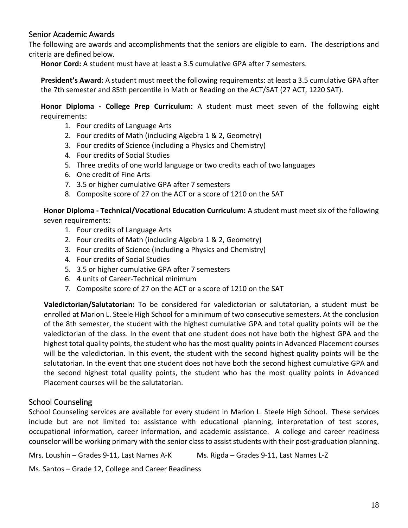## <span id="page-17-0"></span>Senior Academic Awards

The following are awards and accomplishments that the seniors are eligible to earn. The descriptions and criteria are defined below.

**Honor Cord:** A student must have at least a 3.5 cumulative GPA after 7 semesters.

**President's Award:** A student must meet the following requirements: at least a 3.5 cumulative GPA after the 7th semester and 85th percentile in Math or Reading on the ACT/SAT (27 ACT, 1220 SAT).

**Honor Diploma - College Prep Curriculum:** A student must meet seven of the following eight requirements:

- 1. Four credits of Language Arts
- 2. Four credits of Math (including Algebra 1 & 2, Geometry)
- 3. Four credits of Science (including a Physics and Chemistry)
- 4. Four credits of Social Studies
- 5. Three credits of one world language or two credits each of two languages
- 6. One credit of Fine Arts
- 7. 3.5 or higher cumulative GPA after 7 semesters
- 8. Composite score of 27 on the ACT or a score of 1210 on the SAT

**Honor Diploma - Technical/Vocational Education Curriculum:** A student must meet six of the following seven requirements:

- 1. Four credits of Language Arts
- 2. Four credits of Math (including Algebra 1 & 2, Geometry)
- 3. Four credits of Science (including a Physics and Chemistry)
- 4. Four credits of Social Studies
- 5. 3.5 or higher cumulative GPA after 7 semesters
- 6. 4 units of Career-Technical minimum
- 7. Composite score of 27 on the ACT or a score of 1210 on the SAT

**Valedictorian/Salutatorian:** To be considered for valedictorian or salutatorian, a student must be enrolled at Marion L. Steele High School for a minimum of two consecutive semesters. At the conclusion of the 8th semester, the student with the highest cumulative GPA and total quality points will be the valedictorian of the class. In the event that one student does not have both the highest GPA and the highest total quality points, the student who has the most quality points in Advanced Placement courses will be the valedictorian. In this event, the student with the second highest quality points will be the salutatorian. In the event that one student does not have both the second highest cumulative GPA and the second highest total quality points, the student who has the most quality points in Advanced Placement courses will be the salutatorian.

## <span id="page-17-1"></span>School Counseling

School Counseling services are available for every student in Marion L. Steele High School. These services include but are not limited to: assistance with educational planning, interpretation of test scores, occupational information, career information, and academic assistance. A college and career readiness counselor will be working primary with the senior class to assist students with their post-graduation planning.

Mrs. Loushin – Grades 9-11, Last Names A-K Ms. Rigda – Grades 9-11, Last Names L-Z

Ms. Santos – Grade 12, College and Career Readiness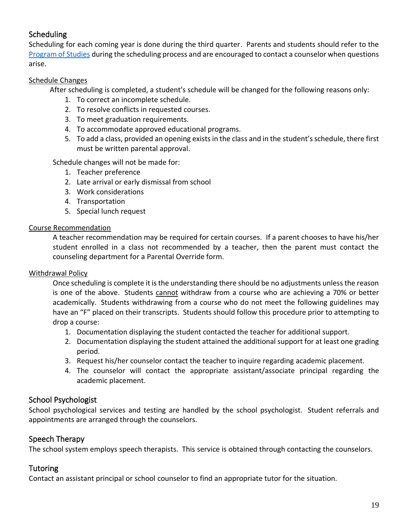## <span id="page-18-0"></span>**Scheduling**

Scheduling for each coming year is done during the third quarter. Parents and students should refer to the [Program of Studies](https://resources.finalsite.net/images/v1610488651/amherst/cogtx8dulrase7lj5dxb/2021-2022_MLS_Program_of_Studies_Final.pdf) during the scheduling process and are encouraged to contact a counselor when questions arise.

#### Schedule Changes

After scheduling is completed, a student's schedule will be changed for the following reasons only:

- 1. To correct an incomplete schedule.
- 2. To resolve conflicts in requested courses.
- 3. To meet graduation requirements.
- 4. To accommodate approved educational programs.
- 5. To add a class, provided an opening exists in the class and in the student's schedule, there first must be written parental approval.

Schedule changes will not be made for:

- 1. Teacher preference
- 2. Late arrival or early dismissal from school
- 3. Work considerations
- 4. Transportation
- 5. Special lunch request

#### Course Recommendation

A teacher recommendation may be required for certain courses. If a parent chooses to have his/her student enrolled in a class not recommended by a teacher, then the parent must contact the counseling department for a Parental Override form.

#### Withdrawal Policy

Once scheduling is complete it is the understanding there should be no adjustments unless the reason is one of the above. Students cannot withdraw from a course who are achieving a 70% or better academically. Students withdrawing from a course who do not meet the following guidelines may have an "F" placed on their transcripts. Students should follow this procedure prior to attempting to drop a course:

- 1. Documentation displaying the student contacted the teacher for additional support.
- 2. Documentation displaying the student attained the additional support for at least one grading period.
- 3. Request his/her counselor contact the teacher to inquire regarding academic placement.
- 4. The counselor will contact the appropriate assistant/associate principal regarding the academic placement.

## <span id="page-18-1"></span>School Psychologist

School psychological services and testing are handled by the school psychologist. Student referrals and appointments are arranged through the counselors.

## <span id="page-18-2"></span>Speech Therapy

The school system employs speech therapists. This service is obtained through contacting the counselors.

## <span id="page-18-3"></span>**Tutoring**

Contact an assistant principal or school counselor to find an appropriate tutor for the situation.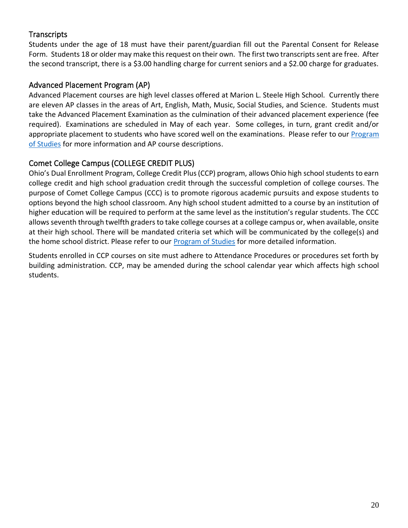## <span id="page-19-0"></span>**Transcripts**

Students under the age of 18 must have their parent/guardian fill out the Parental Consent for Release Form. Students 18 or older may make this request on their own. The first two transcripts sent are free. After the second transcript, there is a \$3.00 handling charge for current seniors and a \$2.00 charge for graduates.

## <span id="page-19-1"></span>Advanced Placement Program (AP)

Advanced Placement courses are high level classes offered at Marion L. Steele High School. Currently there are eleven AP classes in the areas of Art, English, Math, Music, Social Studies, and Science. Students must take the Advanced Placement Examination as the culmination of their advanced placement experience (fee required). Examinations are scheduled in May of each year. Some colleges, in turn, grant credit and/or appropriate placement to students who have scored well on the examinations. Please refer to our Program [of Studies](https://resources.finalsite.net/images/v1610488651/amherst/cogtx8dulrase7lj5dxb/2021-2022_MLS_Program_of_Studies_Final.pdf) for more information and AP course descriptions.

## <span id="page-19-2"></span>Comet College Campus (COLLEGE CREDIT PLUS)

Ohio's Dual Enrollment Program, College Credit Plus (CCP) program, allows Ohio high school students to earn college credit and high school graduation credit through the successful completion of college courses. The purpose of Comet College Campus (CCC) is to promote rigorous academic pursuits and expose students to options beyond the high school classroom. Any high school student admitted to a course by an institution of higher education will be required to perform at the same level as the institution's regular students. The CCC allows seventh through twelfth graders to take college courses at a college campus or, when available, onsite at their high school. There will be mandated criteria set which will be communicated by the college(s) and the home school district. Please refer to our [Program of Studies](https://resources.finalsite.net/images/v1610488651/amherst/cogtx8dulrase7lj5dxb/2021-2022_MLS_Program_of_Studies_Final.pdf) for more detailed information.

Students enrolled in CCP courses on site must adhere to Attendance Procedures or procedures set forth by building administration. CCP, may be amended during the school calendar year which affects high school students.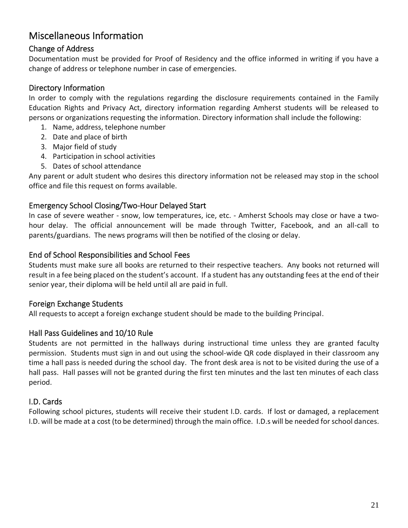# <span id="page-20-0"></span>Miscellaneous Information

## <span id="page-20-1"></span>Change of Address

Documentation must be provided for Proof of Residency and the office informed in writing if you have a change of address or telephone number in case of emergencies.

## <span id="page-20-2"></span>Directory Information

In order to comply with the regulations regarding the disclosure requirements contained in the Family Education Rights and Privacy Act, directory information regarding Amherst students will be released to persons or organizations requesting the information. Directory information shall include the following:

- 1. Name, address, telephone number
- 2. Date and place of birth
- 3. Major field of study
- 4. Participation in school activities
- 5. Dates of school attendance

Any parent or adult student who desires this directory information not be released may stop in the school office and file this request on forms available.

## <span id="page-20-3"></span>Emergency School Closing/Two-Hour Delayed Start

In case of severe weather - snow, low temperatures, ice, etc. - Amherst Schools may close or have a twohour delay. The official announcement will be made through Twitter, Facebook, and an all-call to parents/guardians. The news programs will then be notified of the closing or delay.

## <span id="page-20-4"></span>End of School Responsibilities and School Fees

Students must make sure all books are returned to their respective teachers. Any books not returned will result in a fee being placed on the student's account. If a student has any outstanding fees at the end of their senior year, their diploma will be held until all are paid in full.

## <span id="page-20-5"></span>Foreign Exchange Students

All requests to accept a foreign exchange student should be made to the building Principal.

## <span id="page-20-6"></span>Hall Pass Guidelines and 10/10 Rule

Students are not permitted in the hallways during instructional time unless they are granted faculty permission. Students must sign in and out using the school-wide QR code displayed in their classroom any time a hall pass is needed during the school day. The front desk area is not to be visited during the use of a hall pass. Hall passes will not be granted during the first ten minutes and the last ten minutes of each class period.

## <span id="page-20-7"></span>I.D. Cards

Following school pictures, students will receive their student I.D. cards. If lost or damaged, a replacement I.D. will be made at a cost (to be determined) through the main office. I.D.s will be needed for school dances.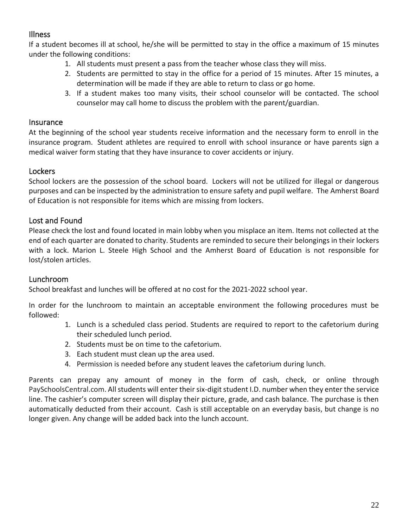## <span id="page-21-0"></span>Illness

If a student becomes ill at school, he/she will be permitted to stay in the office a maximum of 15 minutes under the following conditions:

- 1. All students must present a pass from the teacher whose class they will miss.
- 2. Students are permitted to stay in the office for a period of 15 minutes. After 15 minutes, a determination will be made if they are able to return to class or go home.
- 3. If a student makes too many visits, their school counselor will be contacted. The school counselor may call home to discuss the problem with the parent/guardian.

## <span id="page-21-1"></span>**Insurance**

At the beginning of the school year students receive information and the necessary form to enroll in the insurance program. Student athletes are required to enroll with school insurance or have parents sign a medical waiver form stating that they have insurance to cover accidents or injury.

## <span id="page-21-2"></span>**Lockers**

School lockers are the possession of the school board. Lockers will not be utilized for illegal or dangerous purposes and can be inspected by the administration to ensure safety and pupil welfare. The Amherst Board of Education is not responsible for items which are missing from lockers.

## <span id="page-21-3"></span>Lost and Found

Please check the lost and found located in main lobby when you misplace an item. Items not collected at the end of each quarter are donated to charity. Students are reminded to secure their belongings in their lockers with a lock. Marion L. Steele High School and the Amherst Board of Education is not responsible for lost/stolen articles.

## <span id="page-21-4"></span>Lunchroom

School breakfast and lunches will be offered at no cost for the 2021-2022 school year.

In order for the lunchroom to maintain an acceptable environment the following procedures must be followed:

- 1. Lunch is a scheduled class period. Students are required to report to the cafetorium during their scheduled lunch period.
- 2. Students must be on time to the cafetorium.
- 3. Each student must clean up the area used.
- 4. Permission is needed before any student leaves the cafetorium during lunch.

Parents can prepay any amount of money in the form of cash, check, or online through PaySchoolsCentral.com. All students will enter their six-digit student I.D. number when they enter the service line. The cashier's computer screen will display their picture, grade, and cash balance. The purchase is then automatically deducted from their account. Cash is still acceptable on an everyday basis, but change is no longer given. Any change will be added back into the lunch account.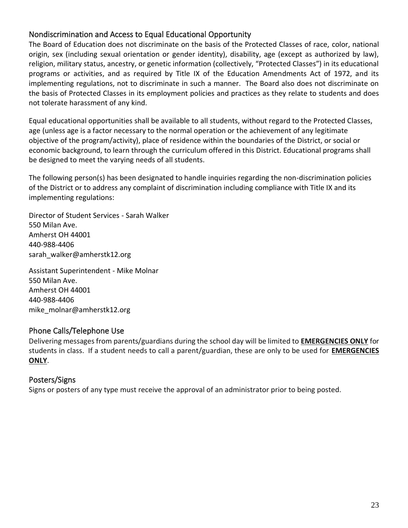## <span id="page-22-0"></span>Nondiscrimination and Access to Equal Educational Opportunity

The Board of Education does not discriminate on the basis of the Protected Classes of race, color, national origin, sex (including sexual orientation or gender identity), disability, age (except as authorized by law), religion, military status, ancestry, or genetic information (collectively, "Protected Classes") in its educational programs or activities, and as required by Title IX of the Education Amendments Act of 1972, and its implementing regulations, not to discriminate in such a manner. The Board also does not discriminate on the basis of Protected Classes in its employment policies and practices as they relate to students and does not tolerate harassment of any kind.

Equal educational opportunities shall be available to all students, without regard to the Protected Classes, age (unless age is a factor necessary to the normal operation or the achievement of any legitimate objective of the program/activity), place of residence within the boundaries of the District, or social or economic background, to learn through the curriculum offered in this District. Educational programs shall be designed to meet the varying needs of all students.

The following person(s) has been designated to handle inquiries regarding the non-discrimination policies of the District or to address any complaint of discrimination including compliance with Title IX and its implementing regulations:

Director of Student Services - Sarah Walker 550 Milan Ave. Amherst OH 44001 440-988-4406 sarah\_walker@amherstk12.org

Assistant Superintendent - Mike Molnar 550 Milan Ave. Amherst OH 44001 440-988-4406 mike\_molnar@amherstk12.org

## <span id="page-22-1"></span>Phone Calls/Telephone Use

Delivering messages from parents/guardians during the school day will be limited to **EMERGENCIES ONLY** for students in class. If a student needs to call a parent/guardian, these are only to be used for **EMERGENCIES ONLY**.

## <span id="page-22-2"></span>Posters/Signs

Signs or posters of any type must receive the approval of an administrator prior to being posted.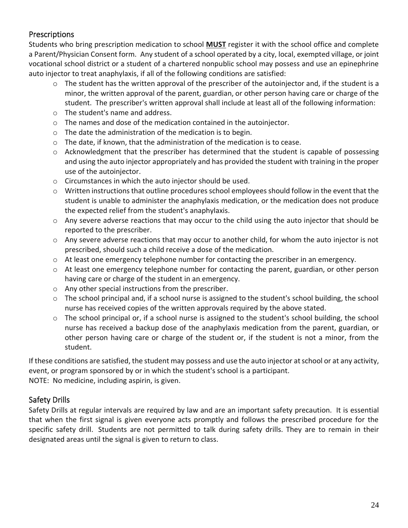## <span id="page-23-0"></span>**Prescriptions**

Students who bring prescription medication to school **MUST** register it with the school office and complete a Parent/Physician Consent form. Any student of a school operated by a city, local, exempted village, or joint vocational school district or a student of a chartered nonpublic school may possess and use an epinephrine auto injector to treat anaphylaxis, if all of the following conditions are satisfied:

- $\circ$  The student has the written approval of the prescriber of the autoinjector and, if the student is a minor, the written approval of the parent, guardian, or other person having care or charge of the student. The prescriber's written approval shall include at least all of the following information:
- o The student's name and address.
- o The names and dose of the medication contained in the autoinjector.
- o The date the administration of the medication is to begin.
- o The date, if known, that the administration of the medication is to cease.
- $\circ$  Acknowledgment that the prescriber has determined that the student is capable of possessing and using the auto injector appropriately and has provided the student with training in the proper use of the autoinjector.
- o Circumstances in which the auto injector should be used.
- $\circ$  Written instructions that outline procedures school employees should follow in the event that the student is unable to administer the anaphylaxis medication, or the medication does not produce the expected relief from the student's anaphylaxis.
- $\circ$  Any severe adverse reactions that may occur to the child using the auto injector that should be reported to the prescriber.
- $\circ$  Any severe adverse reactions that may occur to another child, for whom the auto injector is not prescribed, should such a child receive a dose of the medication.
- $\circ$  At least one emergency telephone number for contacting the prescriber in an emergency.
- $\circ$  At least one emergency telephone number for contacting the parent, guardian, or other person having care or charge of the student in an emergency.
- o Any other special instructions from the prescriber.
- o The school principal and, if a school nurse is assigned to the student's school building, the school nurse has received copies of the written approvals required by the above stated.
- $\circ$  The school principal or, if a school nurse is assigned to the student's school building, the school nurse has received a backup dose of the anaphylaxis medication from the parent, guardian, or other person having care or charge of the student or, if the student is not a minor, from the student.

If these conditions are satisfied, the student may possess and use the auto injector at school or at any activity, event, or program sponsored by or in which the student's school is a participant. NOTE: No medicine, including aspirin, is given.

## <span id="page-23-1"></span>Safety Drills

Safety Drills at regular intervals are required by law and are an important safety precaution. It is essential that when the first signal is given everyone acts promptly and follows the prescribed procedure for the specific safety drill. Students are not permitted to talk during safety drills. They are to remain in their designated areas until the signal is given to return to class.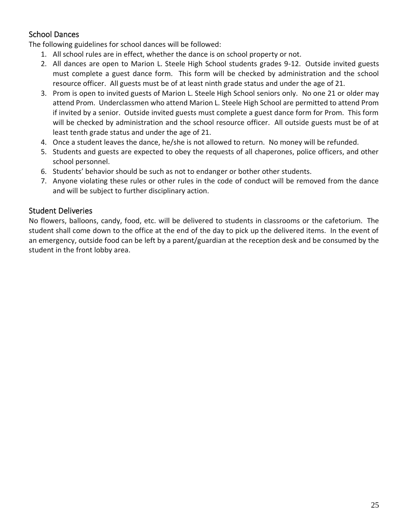## <span id="page-24-0"></span>School Dances

The following guidelines for school dances will be followed:

- 1. All school rules are in effect, whether the dance is on school property or not.
- 2. All dances are open to Marion L. Steele High School students grades 9-12. Outside invited guests must complete a guest dance form. This form will be checked by administration and the school resource officer. All guests must be of at least ninth grade status and under the age of 21.
- 3. Prom is open to invited guests of Marion L. Steele High School seniors only. No one 21 or older may attend Prom. Underclassmen who attend Marion L. Steele High School are permitted to attend Prom if invited by a senior. Outside invited guests must complete a guest dance form for Prom. This form will be checked by administration and the school resource officer. All outside guests must be of at least tenth grade status and under the age of 21.
- 4. Once a student leaves the dance, he/she is not allowed to return. No money will be refunded.
- 5. Students and guests are expected to obey the requests of all chaperones, police officers, and other school personnel.
- 6. Students' behavior should be such as not to endanger or bother other students.
- 7. Anyone violating these rules or other rules in the code of conduct will be removed from the dance and will be subject to further disciplinary action.

## <span id="page-24-1"></span>Student Deliveries

No flowers, balloons, candy, food, etc. will be delivered to students in classrooms or the cafetorium. The student shall come down to the office at the end of the day to pick up the delivered items. In the event of an emergency, outside food can be left by a parent/guardian at the reception desk and be consumed by the student in the front lobby area.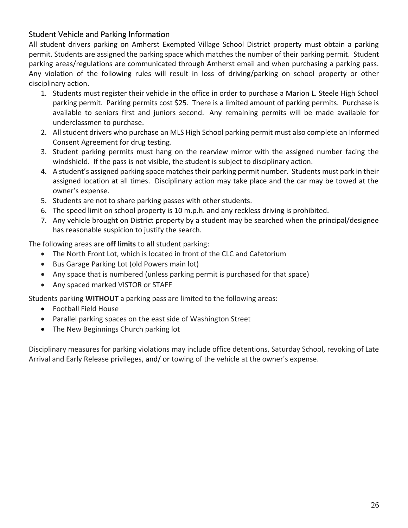## <span id="page-25-0"></span>Student Vehicle and Parking Information

All student drivers parking on Amherst Exempted Village School District property must obtain a parking permit. Students are assigned the parking space which matches the number of their parking permit. Student parking areas/regulations are communicated through Amherst email and when purchasing a parking pass. Any violation of the following rules will result in loss of driving/parking on school property or other disciplinary action.

- 1. Students must register their vehicle in the office in order to purchase a Marion L. Steele High School parking permit. Parking permits cost \$25. There is a limited amount of parking permits. Purchase is available to seniors first and juniors second. Any remaining permits will be made available for underclassmen to purchase.
- 2. All student drivers who purchase an MLS High School parking permit must also complete an Informed Consent Agreement for drug testing.
- 3. Student parking permits must hang on the rearview mirror with the assigned number facing the windshield. If the pass is not visible, the student is subject to disciplinary action.
- 4. A student's assigned parking space matches their parking permit number. Students must park in their assigned location at all times. Disciplinary action may take place and the car may be towed at the owner's expense.
- 5. Students are not to share parking passes with other students.
- 6. The speed limit on school property is 10 m.p.h. and any reckless driving is prohibited.
- 7. Any vehicle brought on District property by a student may be searched when the principal/designee has reasonable suspicion to justify the search.

The following areas are **off limits** to **all** student parking:

- The North Front Lot, which is located in front of the CLC and Cafetorium
- Bus Garage Parking Lot (old Powers main lot)
- Any space that is numbered (unless parking permit is purchased for that space)
- Any spaced marked VISTOR or STAFF

Students parking **WITHOUT** a parking pass are limited to the following areas:

- Football Field House
- Parallel parking spaces on the east side of Washington Street
- The New Beginnings Church parking lot

Disciplinary measures for parking violations may include office detentions, Saturday School, revoking of Late Arrival and Early Release privileges, and/ or towing of the vehicle at the owner's expense.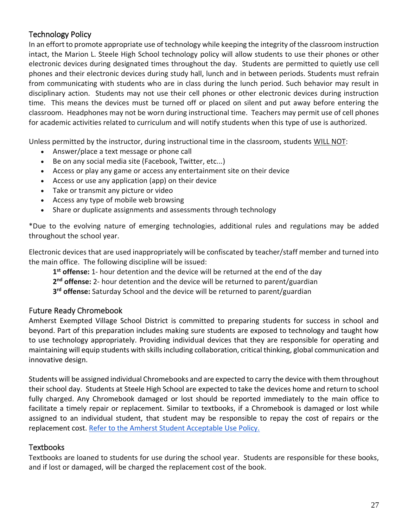## <span id="page-26-0"></span>Technology Policy

In an effort to promote appropriate use of technology while keeping the integrity of the classroom instruction intact, the Marion L. Steele High School technology policy will allow students to use their phones or other electronic devices during designated times throughout the day. Students are permitted to quietly use cell phones and their electronic devices during study hall, lunch and in between periods. Students must refrain from communicating with students who are in class during the lunch period. Such behavior may result in disciplinary action. Students may not use their cell phones or other electronic devices during instruction time. This means the devices must be turned off or placed on silent and put away before entering the classroom. Headphones may not be worn during instructional time. Teachers may permit use of cell phones for academic activities related to curriculum and will notify students when this type of use is authorized.

Unless permitted by the instructor, during instructional time in the classroom, students WILL NOT:

- Answer/place a text message or phone call
- Be on any social media site (Facebook, Twitter, etc...)
- Access or play any game or access any entertainment site on their device
- Access or use any application (app) on their device
- Take or transmit any picture or video
- Access any type of mobile web browsing
- Share or duplicate assignments and assessments through technology

\*Due to the evolving nature of emerging technologies, additional rules and regulations may be added throughout the school year.

Electronic devices that are used inappropriately will be confiscated by teacher/staff member and turned into the main office. The following discipline will be issued:

**1 st offense:** 1- hour detention and the device will be returned at the end of the day

**2 nd offense:** 2- hour detention and the device will be returned to parent/guardian

**3 rd offense:** Saturday School and the device will be returned to parent/guardian

## <span id="page-26-1"></span>Future Ready Chromebook

Amherst Exempted Village School District is committed to preparing students for success in school and beyond. Part of this preparation includes making sure students are exposed to technology and taught how to use technology appropriately. Providing individual devices that they are responsible for operating and maintaining will equip students with skills including collaboration, critical thinking, global communication and innovative design.

Students will be assigned individual Chromebooks and are expected to carry the device with them throughout their school day. Students at Steele High School are expected to take the devices home and return to school fully charged. Any Chromebook damaged or lost should be reported immediately to the main office to facilitate a timely repair or replacement. Similar to textbooks, if a Chromebook is damaged or lost while assigned to an individual student, that student may be responsible to repay the cost of repairs or the replacement cost. [Refer to the Amherst Student Acceptable Use Policy.](https://www.amherstk12.org/uploaded/Documents/Powers/Amherst_Exempted_Village_Schools_Acceptable_Use_Policy_2018-2019.pdf)

## <span id="page-26-2"></span>**Textbooks**

Textbooks are loaned to students for use during the school year. Students are responsible for these books, and if lost or damaged, will be charged the replacement cost of the book.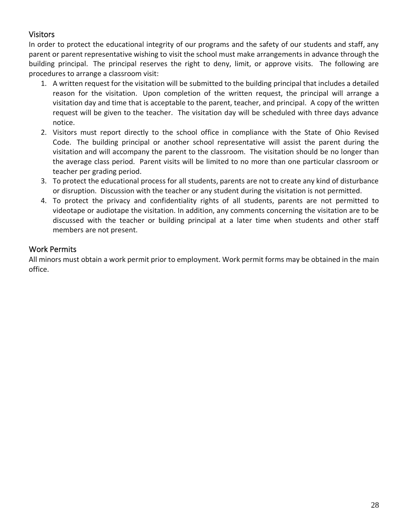## <span id="page-27-0"></span>Visitors

In order to protect the educational integrity of our programs and the safety of our students and staff, any parent or parent representative wishing to visit the school must make arrangements in advance through the building principal. The principal reserves the right to deny, limit, or approve visits. The following are procedures to arrange a classroom visit:

- 1. A written request for the visitation will be submitted to the building principal that includes a detailed reason for the visitation. Upon completion of the written request, the principal will arrange a visitation day and time that is acceptable to the parent, teacher, and principal. A copy of the written request will be given to the teacher. The visitation day will be scheduled with three days advance notice.
- 2. Visitors must report directly to the school office in compliance with the State of Ohio Revised Code. The building principal or another school representative will assist the parent during the visitation and will accompany the parent to the classroom. The visitation should be no longer than the average class period. Parent visits will be limited to no more than one particular classroom or teacher per grading period.
- 3. To protect the educational process for all students, parents are not to create any kind of disturbance or disruption. Discussion with the teacher or any student during the visitation is not permitted.
- 4. To protect the privacy and confidentiality rights of all students, parents are not permitted to videotape or audiotape the visitation. In addition, any comments concerning the visitation are to be discussed with the teacher or building principal at a later time when students and other staff members are not present.

## <span id="page-27-1"></span>Work Permits

All minors must obtain a work permit prior to employment. Work permit forms may be obtained in the main office.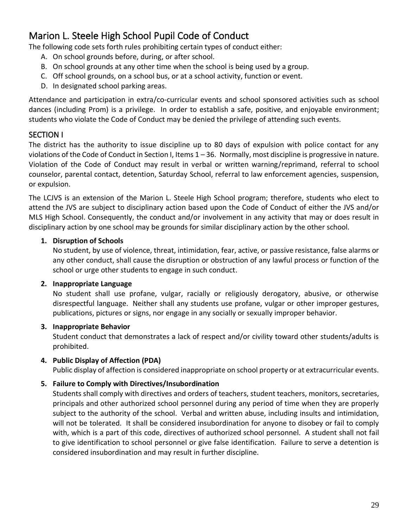# <span id="page-28-0"></span>Marion L. Steele High School Pupil Code of Conduct

The following code sets forth rules prohibiting certain types of conduct either:

- A. On school grounds before, during, or after school.
- B. On school grounds at any other time when the school is being used by a group.
- C. Off school grounds, on a school bus, or at a school activity, function or event.
- D. In designated school parking areas.

Attendance and participation in extra/co-curricular events and school sponsored activities such as school dances (including Prom) is a privilege. In order to establish a safe, positive, and enjoyable environment; students who violate the Code of Conduct may be denied the privilege of attending such events.

## <span id="page-28-1"></span>SECTION I

The district has the authority to issue discipline up to 80 days of expulsion with police contact for any violations of the Code of Conduct in Section I, Items 1 – 36. Normally, most discipline is progressive in nature. Violation of the Code of Conduct may result in verbal or written warning/reprimand, referral to school counselor, parental contact, detention, Saturday School, referral to law enforcement agencies, suspension, or expulsion.

The LCJVS is an extension of the Marion L. Steele High School program; therefore, students who elect to attend the JVS are subject to disciplinary action based upon the Code of Conduct of either the JVS and/or MLS High School. Consequently, the conduct and/or involvement in any activity that may or does result in disciplinary action by one school may be grounds for similar disciplinary action by the other school.

## **1. Disruption of Schools**

No student, by use of violence, threat, intimidation, fear, active, or passive resistance, false alarms or any other conduct, shall cause the disruption or obstruction of any lawful process or function of the school or urge other students to engage in such conduct.

#### **2. Inappropriate Language**

No student shall use profane, vulgar, racially or religiously derogatory, abusive, or otherwise disrespectful language. Neither shall any students use profane, vulgar or other improper gestures, publications, pictures or signs, nor engage in any socially or sexually improper behavior.

#### **3. Inappropriate Behavior**

Student conduct that demonstrates a lack of respect and/or civility toward other students/adults is prohibited.

## **4. Public Display of Affection (PDA)**

Public display of affection is considered inappropriate on school property or at extracurricular events.

#### **5. Failure to Comply with Directives/Insubordination**

Students shall comply with directives and orders of teachers, student teachers, monitors, secretaries, principals and other authorized school personnel during any period of time when they are properly subject to the authority of the school. Verbal and written abuse, including insults and intimidation, will not be tolerated. It shall be considered insubordination for anyone to disobey or fail to comply with, which is a part of this code, directives of authorized school personnel. A student shall not fail to give identification to school personnel or give false identification. Failure to serve a detention is considered insubordination and may result in further discipline.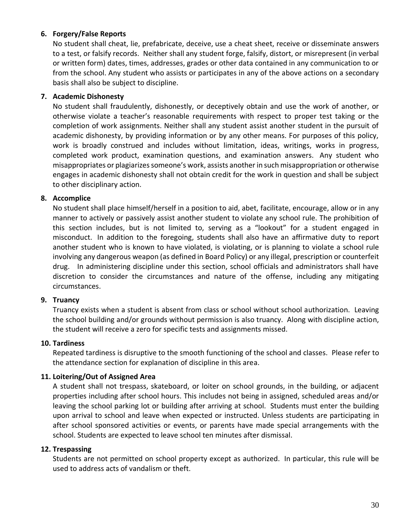#### **6. Forgery/False Reports**

No student shall cheat, lie, prefabricate, deceive, use a cheat sheet, receive or disseminate answers to a test, or falsify records. Neither shall any student forge, falsify, distort, or misrepresent (in verbal or written form) dates, times, addresses, grades or other data contained in any communication to or from the school. Any student who assists or participates in any of the above actions on a secondary basis shall also be subject to discipline.

#### **7. Academic Dishonesty**

No student shall fraudulently, dishonestly, or deceptively obtain and use the work of another, or otherwise violate a teacher's reasonable requirements with respect to proper test taking or the completion of work assignments. Neither shall any student assist another student in the pursuit of academic dishonesty, by providing information or by any other means. For purposes of this policy, work is broadly construed and includes without limitation, ideas, writings, works in progress, completed work product, examination questions, and examination answers. Any student who misappropriates or plagiarizes someone's work, assists another in such misappropriation or otherwise engages in academic dishonesty shall not obtain credit for the work in question and shall be subject to other disciplinary action.

#### **8. Accomplice**

No student shall place himself/herself in a position to aid, abet, facilitate, encourage, allow or in any manner to actively or passively assist another student to violate any school rule. The prohibition of this section includes, but is not limited to, serving as a "lookout" for a student engaged in misconduct. In addition to the foregoing, students shall also have an affirmative duty to report another student who is known to have violated, is violating, or is planning to violate a school rule involving any dangerous weapon (as defined in Board Policy) or any illegal, prescription or counterfeit drug. In administering discipline under this section, school officials and administrators shall have discretion to consider the circumstances and nature of the offense, including any mitigating circumstances.

#### **9. Truancy**

Truancy exists when a student is absent from class or school without school authorization. Leaving the school building and/or grounds without permission is also truancy. Along with discipline action, the student will receive a zero for specific tests and assignments missed.

#### **10. Tardiness**

Repeated tardiness is disruptive to the smooth functioning of the school and classes. Please refer to the attendance section for explanation of discipline in this area.

#### **11. Loitering/Out of Assigned Area**

A student shall not trespass, skateboard, or loiter on school grounds, in the building, or adjacent properties including after school hours. This includes not being in assigned, scheduled areas and/or leaving the school parking lot or building after arriving at school. Students must enter the building upon arrival to school and leave when expected or instructed. Unless students are participating in after school sponsored activities or events, or parents have made special arrangements with the school. Students are expected to leave school ten minutes after dismissal.

#### **12. Trespassing**

Students are not permitted on school property except as authorized. In particular, this rule will be used to address acts of vandalism or theft.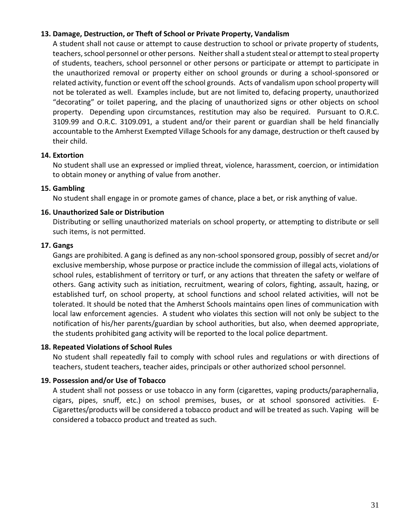#### **13. Damage, Destruction, or Theft of School or Private Property, Vandalism**

A student shall not cause or attempt to cause destruction to school or private property of students, teachers, school personnel or other persons. Neither shall a student steal or attempt to steal property of students, teachers, school personnel or other persons or participate or attempt to participate in the unauthorized removal or property either on school grounds or during a school-sponsored or related activity, function or event off the school grounds. Acts of vandalism upon school property will not be tolerated as well. Examples include, but are not limited to, defacing property, unauthorized "decorating" or toilet papering, and the placing of unauthorized signs or other objects on school property. Depending upon circumstances, restitution may also be required. Pursuant to O.R.C. 3109.99 and O.R.C. 3109.091, a student and/or their parent or guardian shall be held financially accountable to the Amherst Exempted Village Schools for any damage, destruction or theft caused by their child.

#### **14. Extortion**

No student shall use an expressed or implied threat, violence, harassment, coercion, or intimidation to obtain money or anything of value from another.

#### **15. Gambling**

No student shall engage in or promote games of chance, place a bet, or risk anything of value.

#### **16. Unauthorized Sale or Distribution**

Distributing or selling unauthorized materials on school property, or attempting to distribute or sell such items, is not permitted.

#### **17. Gangs**

Gangs are prohibited. A gang is defined as any non-school sponsored group, possibly of secret and/or exclusive membership, whose purpose or practice include the commission of illegal acts, violations of school rules, establishment of territory or turf, or any actions that threaten the safety or welfare of others. Gang activity such as initiation, recruitment, wearing of colors, fighting, assault, hazing, or established turf, on school property, at school functions and school related activities, will not be tolerated. It should be noted that the Amherst Schools maintains open lines of communication with local law enforcement agencies. A student who violates this section will not only be subject to the notification of his/her parents/guardian by school authorities, but also, when deemed appropriate, the students prohibited gang activity will be reported to the local police department.

#### **18. Repeated Violations of School Rules**

No student shall repeatedly fail to comply with school rules and regulations or with directions of teachers, student teachers, teacher aides, principals or other authorized school personnel.

#### **19. Possession and/or Use of Tobacco**

A student shall not possess or use tobacco in any form (cigarettes, vaping products/paraphernalia, cigars, pipes, snuff, etc.) on school premises, buses, or at school sponsored activities. E-Cigarettes/products will be considered a tobacco product and will be treated as such. Vaping will be considered a tobacco product and treated as such.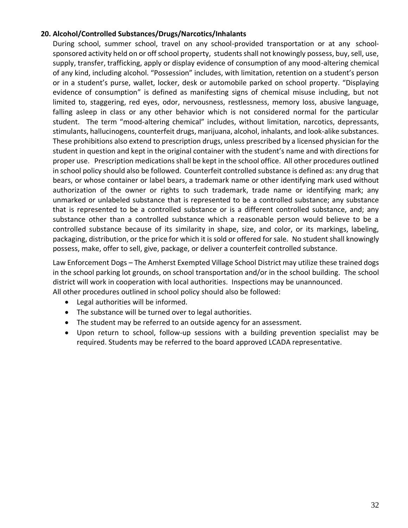#### **20. Alcohol/Controlled Substances/Drugs/Narcotics/Inhalants**

During school, summer school, travel on any school-provided transportation or at any schoolsponsored activity held on or off school property, students shall not knowingly possess, buy, sell, use, supply, transfer, trafficking, apply or display evidence of consumption of any mood-altering chemical of any kind, including alcohol. "Possession" includes, with limitation, retention on a student's person or in a student's purse, wallet, locker, desk or automobile parked on school property. "Displaying evidence of consumption" is defined as manifesting signs of chemical misuse including, but not limited to, staggering, red eyes, odor, nervousness, restlessness, memory loss, abusive language, falling asleep in class or any other behavior which is not considered normal for the particular student. The term "mood-altering chemical" includes, without limitation, narcotics, depressants, stimulants, hallucinogens, counterfeit drugs, marijuana, alcohol, inhalants, and look-alike substances. These prohibitions also extend to prescription drugs, unless prescribed by a licensed physician for the student in question and kept in the original container with the student's name and with directions for proper use. Prescription medications shall be kept in the school office. All other procedures outlined in school policy should also be followed. Counterfeit controlled substance is defined as: any drug that bears, or whose container or label bears, a trademark name or other identifying mark used without authorization of the owner or rights to such trademark, trade name or identifying mark; any unmarked or unlabeled substance that is represented to be a controlled substance; any substance that is represented to be a controlled substance or is a different controlled substance, and; any substance other than a controlled substance which a reasonable person would believe to be a controlled substance because of its similarity in shape, size, and color, or its markings, labeling, packaging, distribution, or the price for which it is sold or offered for sale. No student shall knowingly possess, make, offer to sell, give, package, or deliver a counterfeit controlled substance.

Law Enforcement Dogs – The Amherst Exempted Village School District may utilize these trained dogs in the school parking lot grounds, on school transportation and/or in the school building. The school district will work in cooperation with local authorities. Inspections may be unannounced. All other procedures outlined in school policy should also be followed:

- Legal authorities will be informed.
- The substance will be turned over to legal authorities.
- The student may be referred to an outside agency for an assessment.
- Upon return to school, follow-up sessions with a building prevention specialist may be required. Students may be referred to the board approved LCADA representative.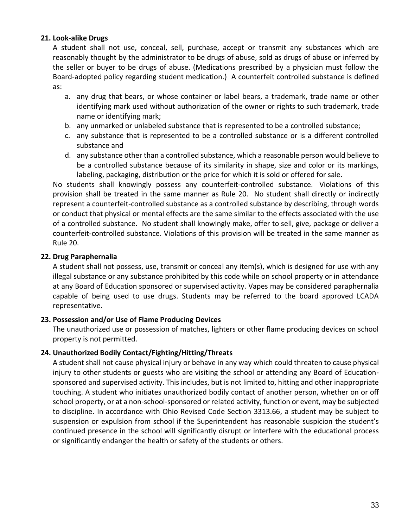#### **21. Look-alike Drugs**

A student shall not use, conceal, sell, purchase, accept or transmit any substances which are reasonably thought by the administrator to be drugs of abuse, sold as drugs of abuse or inferred by the seller or buyer to be drugs of abuse. (Medications prescribed by a physician must follow the Board-adopted policy regarding student medication.) A counterfeit controlled substance is defined as:

- a. any drug that bears, or whose container or label bears, a trademark, trade name or other identifying mark used without authorization of the owner or rights to such trademark, trade name or identifying mark;
- b. any unmarked or unlabeled substance that is represented to be a controlled substance;
- c. any substance that is represented to be a controlled substance or is a different controlled substance and
- d. any substance other than a controlled substance, which a reasonable person would believe to be a controlled substance because of its similarity in shape, size and color or its markings, labeling, packaging, distribution or the price for which it is sold or offered for sale.

No students shall knowingly possess any counterfeit-controlled substance. Violations of this provision shall be treated in the same manner as Rule 20. No student shall directly or indirectly represent a counterfeit-controlled substance as a controlled substance by describing, through words or conduct that physical or mental effects are the same similar to the effects associated with the use of a controlled substance. No student shall knowingly make, offer to sell, give, package or deliver a counterfeit-controlled substance. Violations of this provision will be treated in the same manner as Rule 20.

#### **22. Drug Paraphernalia**

A student shall not possess, use, transmit or conceal any item(s), which is designed for use with any illegal substance or any substance prohibited by this code while on school property or in attendance at any Board of Education sponsored or supervised activity. Vapes may be considered paraphernalia capable of being used to use drugs. Students may be referred to the board approved LCADA representative.

#### **23. Possession and/or Use of Flame Producing Devices**

The unauthorized use or possession of matches, lighters or other flame producing devices on school property is not permitted.

#### **24. Unauthorized Bodily Contact/Fighting/Hitting/Threats**

A student shall not cause physical injury or behave in any way which could threaten to cause physical injury to other students or guests who are visiting the school or attending any Board of Educationsponsored and supervised activity. This includes, but is not limited to, hitting and other inappropriate touching. A student who initiates unauthorized bodily contact of another person, whether on or off school property, or at a non-school-sponsored or related activity, function or event, may be subjected to discipline. In accordance with Ohio Revised Code Section 3313.66, a student may be subject to suspension or expulsion from school if the Superintendent has reasonable suspicion the student's continued presence in the school will significantly disrupt or interfere with the educational process or significantly endanger the health or safety of the students or others.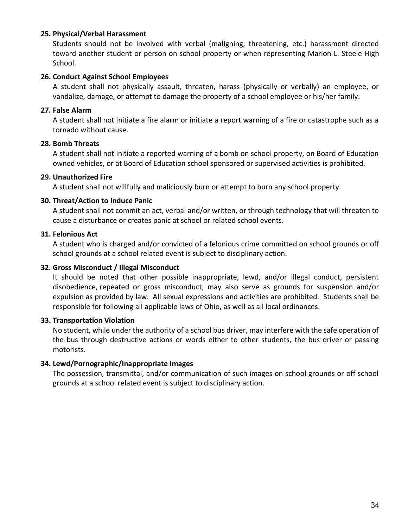#### **25. Physical/Verbal Harassment**

Students should not be involved with verbal (maligning, threatening, etc.) harassment directed toward another student or person on school property or when representing Marion L. Steele High School.

#### **26. Conduct Against School Employees**

A student shall not physically assault, threaten, harass (physically or verbally) an employee, or vandalize, damage, or attempt to damage the property of a school employee or his/her family.

#### **27. False Alarm**

A student shall not initiate a fire alarm or initiate a report warning of a fire or catastrophe such as a tornado without cause.

#### **28. Bomb Threats**

A student shall not initiate a reported warning of a bomb on school property, on Board of Education owned vehicles, or at Board of Education school sponsored or supervised activities is prohibited.

#### **29. Unauthorized Fire**

A student shall not willfully and maliciously burn or attempt to burn any school property.

#### **30. Threat/Action to Induce Panic**

A student shall not commit an act, verbal and/or written, or through technology that will threaten to cause a disturbance or creates panic at school or related school events.

#### **31. Felonious Act**

A student who is charged and/or convicted of a felonious crime committed on school grounds or off school grounds at a school related event is subject to disciplinary action.

#### **32. Gross Misconduct / Illegal Misconduct**

It should be noted that other possible inappropriate, lewd, and/or illegal conduct, persistent disobedience, repeated or gross misconduct, may also serve as grounds for suspension and/or expulsion as provided by law. All sexual expressions and activities are prohibited. Students shall be responsible for following all applicable laws of Ohio, as well as all local ordinances.

#### **33. Transportation Violation**

No student, while under the authority of a school bus driver, may interfere with the safe operation of the bus through destructive actions or words either to other students, the bus driver or passing motorists.

#### **34. Lewd/Pornographic/Inappropriate Images**

The possession, transmittal, and/or communication of such images on school grounds or off school grounds at a school related event is subject to disciplinary action.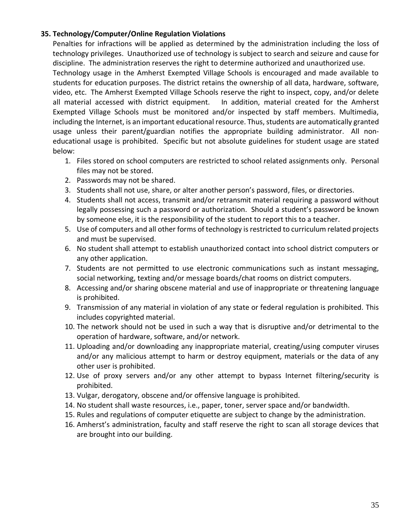#### **35. Technology/Computer/Online Regulation Violations**

Penalties for infractions will be applied as determined by the administration including the loss of technology privileges. Unauthorized use of technology is subject to search and seizure and cause for discipline. The administration reserves the right to determine authorized and unauthorized use.

Technology usage in the Amherst Exempted Village Schools is encouraged and made available to students for education purposes. The district retains the ownership of all data, hardware, software, video, etc. The Amherst Exempted Village Schools reserve the right to inspect, copy, and/or delete all material accessed with district equipment. In addition, material created for the Amherst Exempted Village Schools must be monitored and/or inspected by staff members. Multimedia, including the Internet, is an important educational resource. Thus, students are automatically granted usage unless their parent/guardian notifies the appropriate building administrator. All noneducational usage is prohibited. Specific but not absolute guidelines for student usage are stated below:

- 1. Files stored on school computers are restricted to school related assignments only. Personal files may not be stored.
- 2. Passwords may not be shared.
- 3. Students shall not use, share, or alter another person's password, files, or directories.
- 4. Students shall not access, transmit and/or retransmit material requiring a password without legally possessing such a password or authorization. Should a student's password be known by someone else, it is the responsibility of the student to report this to a teacher.
- 5. Use of computers and all other forms of technology is restricted to curriculum related projects and must be supervised.
- 6. No student shall attempt to establish unauthorized contact into school district computers or any other application.
- 7. Students are not permitted to use electronic communications such as instant messaging, social networking, texting and/or message boards/chat rooms on district computers.
- 8. Accessing and/or sharing obscene material and use of inappropriate or threatening language is prohibited.
- 9. Transmission of any material in violation of any state or federal regulation is prohibited. This includes copyrighted material.
- 10. The network should not be used in such a way that is disruptive and/or detrimental to the operation of hardware, software, and/or network.
- 11. Uploading and/or downloading any inappropriate material, creating/using computer viruses and/or any malicious attempt to harm or destroy equipment, materials or the data of any other user is prohibited.
- 12. Use of proxy servers and/or any other attempt to bypass Internet filtering/security is prohibited.
- 13. Vulgar, derogatory, obscene and/or offensive language is prohibited.
- 14. No student shall waste resources, i.e., paper, toner, server space and/or bandwidth.
- 15. Rules and regulations of computer etiquette are subject to change by the administration.
- 16. Amherst's administration, faculty and staff reserve the right to scan all storage devices that are brought into our building.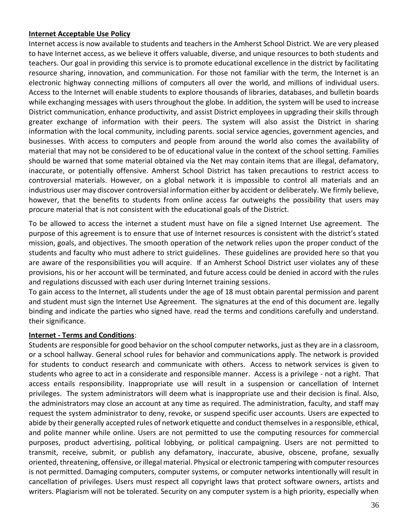#### **Internet Acceptable Use Policy**

Internet access is now available to students and teachers in the Amherst School District. We are very pleased to have Internet access, as we believe it offers valuable, diverse, and unique resources to both students and teachers. Our goal in providing this service is to promote educational excellence in the district by facilitating resource sharing, innovation, and communication. For those not familiar with the term, the Internet is an electronic highway connecting millions of computers all over the world, and millions of individual users. Access to the Internet will enable students to explore thousands of libraries, databases, and bulletin boards while exchanging messages with users throughout the globe. In addition, the system will be used to increase District communication, enhance productivity, and assist District employees in upgrading their skills through greater exchange of information with their peers. The system will also assist the District in sharing information with the local community, including parents. social service agencies, government agencies, and businesses. With access to computers and people from around the world also comes the availability of material that may not be considered to be of educational value in the context of the school setting. Families should be warned that some material obtained via the Net may contain items that are illegal, defamatory, inaccurate, or potentially offensive. Amherst School District has taken precautions to restrict access to controversial materials. However, on a global network it is impossible to control all materials and an industrious user may discover controversial information either by accident or deliberately. We firmly believe, however, that the benefits to students from online access far outweighs the possibility that users may procure material that is not consistent with the educational goals of the District.

To be allowed to access the internet a student must have on file a signed Internet Use agreement. The purpose of this agreement is to ensure that use of Internet resources is consistent with the district's stated mission, goals, and objectives. The smooth operation of the network relies upon the proper conduct of the students and faculty who must adhere to strict guidelines. These guidelines are provided here so that you are aware of the responsibilities you will acquire. If an Amherst School District user violates any of these provisions, his or her account will be terminated, and future access could be denied in accord with the rules and regulations discussed with each user during Internet training sessions.

To gain access to the Internet, all students under the age of 18 must obtain parental permission and parent and student must sign the Internet Use Agreement. The signatures at the end of this document are. legally binding and indicate the parties who signed have. read the terms and conditions carefully and understand. their significance.

#### **Internet - Terms and Conditions**:

Students are responsible for good behavior on the school computer networks, just as they are in a classroom, or a school hallway. General school rules for behavior and communications apply. The network is provided for students to conduct research and communicate with others. Access to network services is given to students who agree to act in a considerate and responsible manner. Access is a privilege - not a right. That access entails responsibility. Inappropriate use will result in a suspension or cancellation of Internet privileges. The system administrators will deem what is inappropriate use and their decision is final. Also, the administrators may close an account at any time as required. The administration, faculty, and staff may request the system administrator to deny, revoke, or suspend specific user accounts. Users are expected to abide by their generally accepted rules of network etiquette and conduct themselves in a responsible, ethical, and polite manner while online. Users are not permitted to use the computing resources for commercial purposes, product advertising, political lobbying, or political campaigning. Users are not permitted to transmit, receive, submit, or publish any defamatory, inaccurate, abusive, obscene, profane, sexually oriented, threatening, offensive, or illegal material. Physical or electronic tampering with computer resources is not permitted. Damaging computers, computer systems, or computer networks intentionally will result in cancellation of privileges. Users must respect all copyright laws that protect software owners, artists and writers. Plagiarism will not be tolerated. Security on any computer system is a high priority, especially when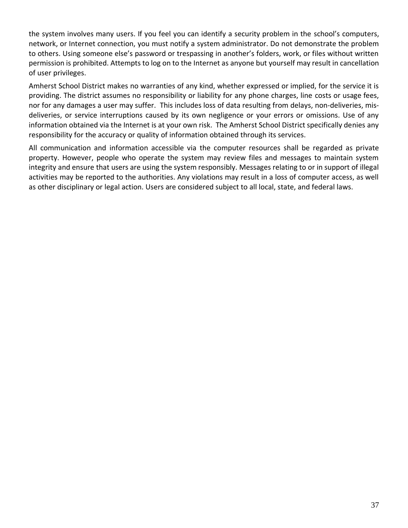the system involves many users. If you feel you can identify a security problem in the school's computers, network, or Internet connection, you must notify a system administrator. Do not demonstrate the problem to others. Using someone else's password or trespassing in another's folders, work, or files without written permission is prohibited. Attempts to log on to the Internet as anyone but yourself may result in cancellation of user privileges.

Amherst School District makes no warranties of any kind, whether expressed or implied, for the service it is providing. The district assumes no responsibility or liability for any phone charges, line costs or usage fees, nor for any damages a user may suffer. This includes loss of data resulting from delays, non-deliveries, misdeliveries, or service interruptions caused by its own negligence or your errors or omissions. Use of any information obtained via the Internet is at your own risk. The Amherst School District specifically denies any responsibility for the accuracy or quality of information obtained through its services.

All communication and information accessible via the computer resources shall be regarded as private property. However, people who operate the system may review files and messages to maintain system integrity and ensure that users are using the system responsibly. Messages relating to or in support of illegal activities may be reported to the authorities. Any violations may result in a loss of computer access, as well as other disciplinary or legal action. Users are considered subject to all local, state, and federal laws.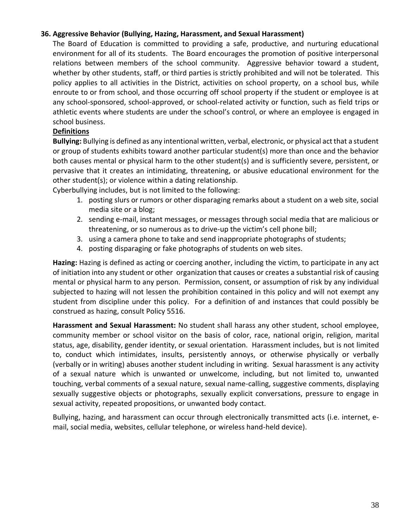#### **36. Aggressive Behavior (Bullying, Hazing, Harassment, and Sexual Harassment)**

The Board of Education is committed to providing a safe, productive, and nurturing educational environment for all of its students. The Board encourages the promotion of positive interpersonal relations between members of the school community. Aggressive behavior toward a student, whether by other students, staff, or third parties is strictly prohibited and will not be tolerated. This policy applies to all activities in the District, activities on school property, on a school bus, while enroute to or from school, and those occurring off school property if the student or employee is at any school-sponsored, school-approved, or school-related activity or function, such as field trips or athletic events where students are under the school's control, or where an employee is engaged in school business.

#### **Definitions**

**Bullying:** Bullying is defined as any intentional written, verbal, electronic, or physical act that a student or group of students exhibits toward another particular student(s) more than once and the behavior both causes mental or physical harm to the other student(s) and is sufficiently severe, persistent, or pervasive that it creates an intimidating, threatening, or abusive educational environment for the other student(s); or violence within a dating relationship.

Cyberbullying includes, but is not limited to the following:

- 1. posting slurs or rumors or other disparaging remarks about a student on a web site, social media site or a blog;
- 2. sending e-mail, instant messages, or messages through social media that are malicious or threatening, or so numerous as to drive-up the victim's cell phone bill;
- 3. using a camera phone to take and send inappropriate photographs of students;
- 4. posting disparaging or fake photographs of students on web sites.

**Hazing:** Hazing is defined as acting or coercing another, including the victim, to participate in any act of initiation into any student or other organization that causes or creates a substantial risk of causing mental or physical harm to any person. Permission, consent, or assumption of risk by any individual subjected to hazing will not lessen the prohibition contained in this policy and will not exempt any student from discipline under this policy. For a definition of and instances that could possibly be construed as hazing, consult Policy 5516.

**Harassment and Sexual Harassment:** No student shall harass any other student, school employee, community member or school visitor on the basis of color, race, national origin, religion, marital status, age, disability, gender identity, or sexual orientation. Harassment includes, but is not limited to, conduct which intimidates, insults, persistently annoys, or otherwise physically or verbally (verbally or in writing) abuses another student including in writing. Sexual harassment is any activity of a sexual nature which is unwanted or unwelcome, including, but not limited to, unwanted touching, verbal comments of a sexual nature, sexual name-calling, suggestive comments, displaying sexually suggestive objects or photographs, sexually explicit conversations, pressure to engage in sexual activity, repeated propositions, or unwanted body contact.

Bullying, hazing, and harassment can occur through electronically transmitted acts (i.e. internet, email, social media, websites, cellular telephone, or wireless hand-held device).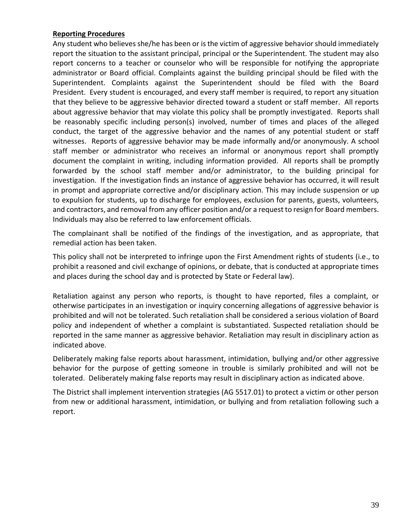#### **Reporting Procedures**

Any student who believes she/he has been or is the victim of aggressive behavior should immediately report the situation to the assistant principal, principal or the Superintendent. The student may also report concerns to a teacher or counselor who will be responsible for notifying the appropriate administrator or Board official. Complaints against the building principal should be filed with the Superintendent. Complaints against the Superintendent should be filed with the Board President. Every student is encouraged, and every staff member is required, to report any situation that they believe to be aggressive behavior directed toward a student or staff member. All reports about aggressive behavior that may violate this policy shall be promptly investigated. Reports shall be reasonably specific including person(s) involved, number of times and places of the alleged conduct, the target of the aggressive behavior and the names of any potential student or staff witnesses. Reports of aggressive behavior may be made informally and/or anonymously. A school staff member or administrator who receives an informal or anonymous report shall promptly document the complaint in writing, including information provided. All reports shall be promptly forwarded by the school staff member and/or administrator, to the building principal for investigation. If the investigation finds an instance of aggressive behavior has occurred, it will result in prompt and appropriate corrective and/or disciplinary action. This may include suspension or up to expulsion for students, up to discharge for employees, exclusion for parents, guests, volunteers, and contractors, and removal from any officer position and/or a request to resign for Board members. Individuals may also be referred to law enforcement officials.

The complainant shall be notified of the findings of the investigation, and as appropriate, that remedial action has been taken.

This policy shall not be interpreted to infringe upon the First Amendment rights of students (i.e., to prohibit a reasoned and civil exchange of opinions, or debate, that is conducted at appropriate times and places during the school day and is protected by State or Federal law).

Retaliation against any person who reports, is thought to have reported, files a complaint, or otherwise participates in an investigation or inquiry concerning allegations of aggressive behavior is prohibited and will not be tolerated. Such retaliation shall be considered a serious violation of Board policy and independent of whether a complaint is substantiated. Suspected retaliation should be reported in the same manner as aggressive behavior. Retaliation may result in disciplinary action as indicated above.

Deliberately making false reports about harassment, intimidation, bullying and/or other aggressive behavior for the purpose of getting someone in trouble is similarly prohibited and will not be tolerated. Deliberately making false reports may result in disciplinary action as indicated above.

The District shall implement intervention strategies (AG 5517.01) to protect a victim or other person from new or additional harassment, intimidation, or bullying and from retaliation following such a report.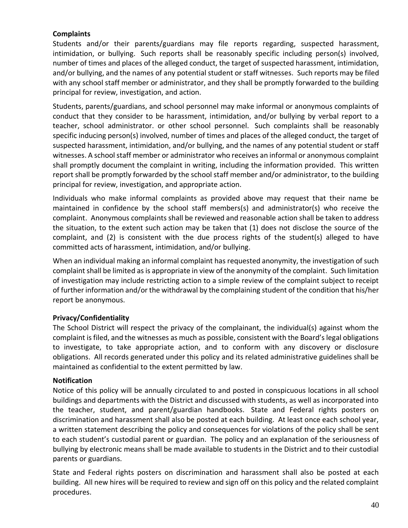#### **Complaints**

Students and/or their parents/guardians may file reports regarding, suspected harassment, intimidation, or bullying. Such reports shall be reasonably specific including person(s) involved, number of times and places of the alleged conduct, the target of suspected harassment, intimidation, and/or bullying, and the names of any potential student or staff witnesses. Such reports may be filed with any school staff member or administrator, and they shall be promptly forwarded to the building principal for review, investigation, and action.

Students, parents/guardians, and school personnel may make informal or anonymous complaints of conduct that they consider to be harassment, intimidation, and/or bullying by verbal report to a teacher, school administrator. or other school personnel. Such complaints shall be reasonably specific inducing person(s) involved, number of times and places of the alleged conduct, the target of suspected harassment, intimidation, and/or bullying, and the names of any potential student or staff witnesses. A school staff member or administrator who receives an informal or anonymous complaint shall promptly document the complaint in writing, including the information provided. This written report shall be promptly forwarded by the school staff member and/or administrator, to the building principal for review, investigation, and appropriate action.

Individuals who make informal complaints as provided above may request that their name be maintained in confidence by the school staff members(s) and administrator(s) who receive the complaint. Anonymous complaints shall be reviewed and reasonable action shall be taken to address the situation, to the extent such action may be taken that (1) does not disclose the source of the complaint, and (2) is consistent with the due process rights of the student(s) alleged to have committed acts of harassment, intimidation, and/or bullying.

When an individual making an informal complaint has requested anonymity, the investigation of such complaint shall be limited as is appropriate in view of the anonymity of the complaint. Such limitation of investigation may include restricting action to a simple review of the complaint subject to receipt of further information and/or the withdrawal by the complaining student of the condition that his/her report be anonymous.

#### **Privacy/Confidentiality**

The School District will respect the privacy of the complainant, the individual(s) against whom the complaint is filed, and the witnesses as much as possible, consistent with the Board's legal obligations to investigate, to take appropriate action, and to conform with any discovery or disclosure obligations. All records generated under this policy and its related administrative guidelines shall be maintained as confidential to the extent permitted by law.

#### **Notification**

Notice of this policy will be annually circulated to and posted in conspicuous locations in all school buildings and departments with the District and discussed with students, as well as incorporated into the teacher, student, and parent/guardian handbooks. State and Federal rights posters on discrimination and harassment shall also be posted at each building. At least once each school year, a written statement describing the policy and consequences for violations of the policy shall be sent to each student's custodial parent or guardian. The policy and an explanation of the seriousness of bullying by electronic means shall be made available to students in the District and to their custodial parents or guardians.

State and Federal rights posters on discrimination and harassment shall also be posted at each building. All new hires will be required to review and sign off on this policy and the related complaint procedures.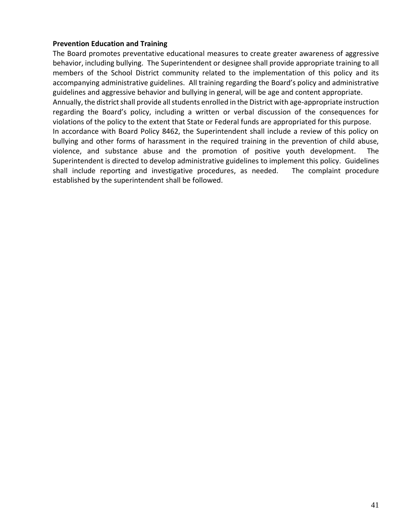#### **Prevention Education and Training**

The Board promotes preventative educational measures to create greater awareness of aggressive behavior, including bullying. The Superintendent or designee shall provide appropriate training to all members of the School District community related to the implementation of this policy and its accompanying administrative guidelines. All training regarding the Board's policy and administrative guidelines and aggressive behavior and bullying in general, will be age and content appropriate.

Annually, the district shall provide all students enrolled in the District with age-appropriate instruction regarding the Board's policy, including a written or verbal discussion of the consequences for violations of the policy to the extent that State or Federal funds are appropriated for this purpose.

In accordance with Board Policy 8462, the Superintendent shall include a review of this policy on bullying and other forms of harassment in the required training in the prevention of child abuse, violence, and substance abuse and the promotion of positive youth development. The Superintendent is directed to develop administrative guidelines to implement this policy. Guidelines shall include reporting and investigative procedures, as needed. The complaint procedure established by the superintendent shall be followed.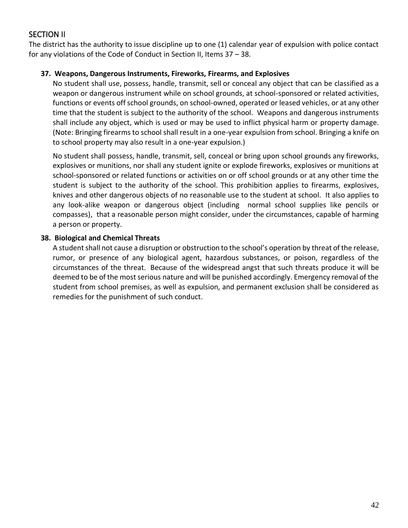## <span id="page-41-0"></span>SECTION II

The district has the authority to issue discipline up to one (1) calendar year of expulsion with police contact for any violations of the Code of Conduct in Section II, Items 37 – 38.

#### **37. Weapons, Dangerous Instruments, Fireworks, Firearms, and Explosives**

No student shall use, possess, handle, transmit, sell or conceal any object that can be classified as a weapon or dangerous instrument while on school grounds, at school-sponsored or related activities, functions or events off school grounds, on school-owned, operated or leased vehicles, or at any other time that the student is subject to the authority of the school. Weapons and dangerous instruments shall include any object, which is used or may be used to inflict physical harm or property damage. (Note: Bringing firearms to school shall result in a one-year expulsion from school. Bringing a knife on to school property may also result in a one-year expulsion.)

No student shall possess, handle, transmit, sell, conceal or bring upon school grounds any fireworks, explosives or munitions, nor shall any student ignite or explode fireworks, explosives or munitions at school-sponsored or related functions or activities on or off school grounds or at any other time the student is subject to the authority of the school. This prohibition applies to firearms, explosives, knives and other dangerous objects of no reasonable use to the student at school. It also applies to any look-alike weapon or dangerous object (including normal school supplies like pencils or compasses), that a reasonable person might consider, under the circumstances, capable of harming a person or property.

#### **38. Biological and Chemical Threats**

A student shall not cause a disruption or obstruction to the school's operation by threat of the release, rumor, or presence of any biological agent, hazardous substances, or poison, regardless of the circumstances of the threat. Because of the widespread angst that such threats produce it will be deemed to be of the most serious nature and will be punished accordingly. Emergency removal of the student from school premises, as well as expulsion, and permanent exclusion shall be considered as remedies for the punishment of such conduct.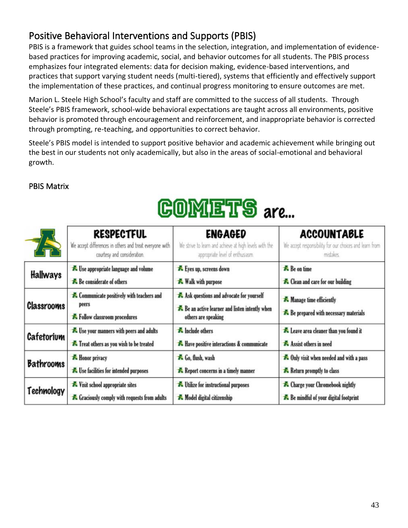## 43

# <span id="page-42-0"></span>Positive Behavioral Interventions and Supports (PBIS)

PBIS is a framework that guides school teams in the selection, integration, and implementation of evidencebased practices for improving academic, social, and behavior outcomes for all students. The PBIS process emphasizes four integrated elements: data for decision making, evidence-based interventions, and practices that support varying student needs (multi-tiered), systems that efficiently and effectively support the implementation of these practices, and continual progress monitoring to ensure outcomes are met.

Marion L. Steele High School's faculty and staff are committed to the success of all students. Through Steele's PBIS framework, school-wide behavioral expectations are taught across all environments, positive behavior is promoted through encouragement and reinforcement, and inappropriate behavior is corrected through prompting, re-teaching, and opportunities to correct behavior.

Steele's PBIS model is intended to support positive behavior and academic achievement while bringing out the best in our students not only academically, but also in the areas of social-emotional and behavioral growth.

## <span id="page-42-1"></span>PBIS Matrix

# $\mathbb{G} \text{OMETS}$  are...

| A                 | <b>RESPECTFUL</b>                                                                         | <b>ENGAGED</b>                                                                                                  | <b>ACCOUNTABLE</b>                                              |
|-------------------|-------------------------------------------------------------------------------------------|-----------------------------------------------------------------------------------------------------------------|-----------------------------------------------------------------|
|                   | We accept differences in others and treat everyone with                                   | We strive to learn and achieve at high levels with the                                                          | We accept responsibility for our choices and learn from         |
|                   | courtesy and consideration.                                                               | appropriate level of enthusiasm.                                                                                | mistakes.                                                       |
| <b>Hallways</b>   | Buse appropriate language and volume                                                      | Eyes up, screens down                                                                                           | <b>A</b> Be on time                                             |
|                   | Be considerate of others                                                                  | <b>K</b> Walk with purpose                                                                                      | <b>A</b> Clean and care for our building                        |
| <b>Classrooms</b> | <b>A</b> Communicate positively with teachers and<br>peers<br>Follow classroom procedures | Ask questions and advocate for yourself<br>Be an active learner and listen intently when<br>others are speaking | Manage time efficiently<br>Be prepared with necessary materials |
| Cafetorium        | E Use your manners with peers and adults                                                  | <b>A</b> Include others                                                                                         | Leave area cleaner than you found it                            |
|                   | Treat others as you wish to be treated                                                    | <b>A</b> Have positive interactions & communicate                                                               | Assist others in need                                           |
| <b>Bathrooms</b>  | <b>K</b> Honor privacy                                                                    | 60, flush, wash                                                                                                 | <b>A</b> Only visit when needed and with a pass                 |
|                   | Lise facilities for intended purposes                                                     | <b>A</b> Report concerns in a timely manner                                                                     | <b>A</b> Return promptly to class                               |
| Technology        | Visit school appropriate sites                                                            | <b>*</b> Utilize for instructional purposes                                                                     | <b>A</b> Charge your Chromebook nightly                         |
|                   | <b>A</b> Graciously comply with requests from adults                                      | Model digital citizenship                                                                                       | Be mindful of your digital footprint                            |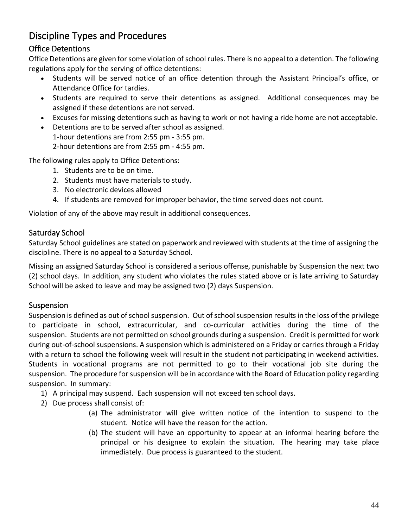# <span id="page-43-0"></span>Discipline Types and Procedures

## <span id="page-43-1"></span>Office Detentions

Office Detentions are given for some violation of school rules. There is no appeal to a detention. The following regulations apply for the serving of office detentions:

- Students will be served notice of an office detention through the Assistant Principal's office, or Attendance Office for tardies.
- Students are required to serve their detentions as assigned. Additional consequences may be assigned if these detentions are not served.
- Excuses for missing detentions such as having to work or not having a ride home are not acceptable.
- Detentions are to be served after school as assigned. 1-hour detentions are from 2:55 pm - 3:55 pm. 2-hour detentions are from 2:55 pm - 4:55 pm.

The following rules apply to Office Detentions:

- 1. Students are to be on time.
- 2. Students must have materials to study.
- 3. No electronic devices allowed
- 4. If students are removed for improper behavior, the time served does not count.

Violation of any of the above may result in additional consequences.

## <span id="page-43-2"></span>Saturday School

Saturday School guidelines are stated on paperwork and reviewed with students at the time of assigning the discipline. There is no appeal to a Saturday School.

Missing an assigned Saturday School is considered a serious offense, punishable by Suspension the next two (2) school days. In addition, any student who violates the rules stated above or is late arriving to Saturday School will be asked to leave and may be assigned two (2) days Suspension.

## <span id="page-43-3"></span>Suspension

Suspension is defined as out of school suspension. Out of school suspension results in the loss of the privilege to participate in school, extracurricular, and co-curricular activities during the time of the suspension. Students are not permitted on school grounds during a suspension. Credit is permitted for work during out-of-school suspensions. A suspension which is administered on a Friday or carries through a Friday with a return to school the following week will result in the student not participating in weekend activities. Students in vocational programs are not permitted to go to their vocational job site during the suspension. The procedure for suspension will be in accordance with the Board of Education policy regarding suspension. In summary:

- 1) A principal may suspend. Each suspension will not exceed ten school days.
- 2) Due process shall consist of:
	- (a) The administrator will give written notice of the intention to suspend to the student. Notice will have the reason for the action.
	- (b) The student will have an opportunity to appear at an informal hearing before the principal or his designee to explain the situation. The hearing may take place immediately. Due process is guaranteed to the student.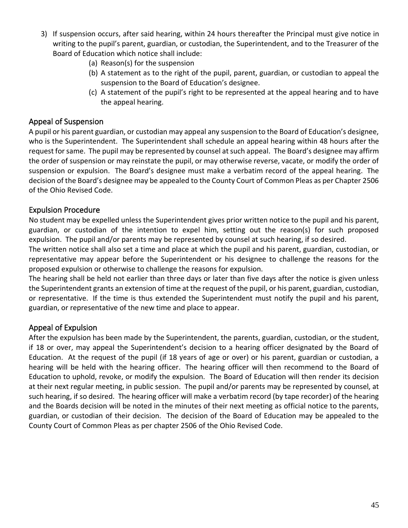- 3) If suspension occurs, after said hearing, within 24 hours thereafter the Principal must give notice in writing to the pupil's parent, guardian, or custodian, the Superintendent, and to the Treasurer of the Board of Education which notice shall include:
	- (a) Reason(s) for the suspension
	- (b) A statement as to the right of the pupil, parent, guardian, or custodian to appeal the suspension to the Board of Education's designee.
	- (c) A statement of the pupil's right to be represented at the appeal hearing and to have the appeal hearing.

## <span id="page-44-0"></span>Appeal of Suspension

A pupil or his parent guardian, or custodian may appeal any suspension to the Board of Education's designee, who is the Superintendent. The Superintendent shall schedule an appeal hearing within 48 hours after the request for same. The pupil may be represented by counsel at such appeal. The Board's designee may affirm the order of suspension or may reinstate the pupil, or may otherwise reverse, vacate, or modify the order of suspension or expulsion. The Board's designee must make a verbatim record of the appeal hearing. The decision of the Board's designee may be appealed to the County Court of Common Pleas as per Chapter 2506 of the Ohio Revised Code.

## <span id="page-44-1"></span>Expulsion Procedure

No student may be expelled unless the Superintendent gives prior written notice to the pupil and his parent, guardian, or custodian of the intention to expel him, setting out the reason(s) for such proposed expulsion. The pupil and/or parents may be represented by counsel at such hearing, if so desired.

The written notice shall also set a time and place at which the pupil and his parent, guardian, custodian, or representative may appear before the Superintendent or his designee to challenge the reasons for the proposed expulsion or otherwise to challenge the reasons for expulsion.

The hearing shall be held not earlier than three days or later than five days after the notice is given unless the Superintendent grants an extension of time at the request of the pupil, or his parent, guardian, custodian, or representative. If the time is thus extended the Superintendent must notify the pupil and his parent, guardian, or representative of the new time and place to appear.

## <span id="page-44-2"></span>Appeal of Expulsion

After the expulsion has been made by the Superintendent, the parents, guardian, custodian, or the student, if 18 or over, may appeal the Superintendent's decision to a hearing officer designated by the Board of Education. At the request of the pupil (if 18 years of age or over) or his parent, guardian or custodian, a hearing will be held with the hearing officer. The hearing officer will then recommend to the Board of Education to uphold, revoke, or modify the expulsion. The Board of Education will then render its decision at their next regular meeting, in public session. The pupil and/or parents may be represented by counsel, at such hearing, if so desired. The hearing officer will make a verbatim record (by tape recorder) of the hearing and the Boards decision will be noted in the minutes of their next meeting as official notice to the parents, guardian, or custodian of their decision. The decision of the Board of Education may be appealed to the County Court of Common Pleas as per chapter 2506 of the Ohio Revised Code.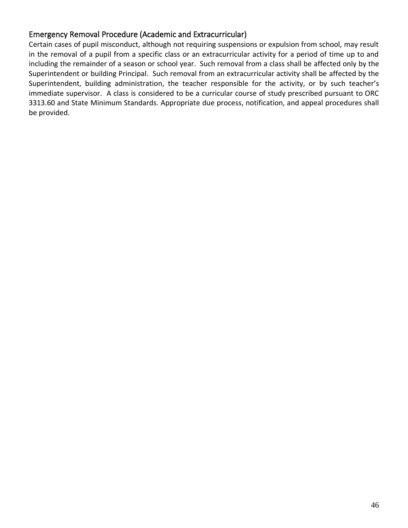## <span id="page-45-0"></span>Emergency Removal Procedure (Academic and Extracurricular)

Certain cases of pupil misconduct, although not requiring suspensions or expulsion from school, may result in the removal of a pupil from a specific class or an extracurricular activity for a period of time up to and including the remainder of a season or school year. Such removal from a class shall be affected only by the Superintendent or building Principal. Such removal from an extracurricular activity shall be affected by the Superintendent, building administration, the teacher responsible for the activity, or by such teacher's immediate supervisor. A class is considered to be a curricular course of study prescribed pursuant to ORC 3313.60 and State Minimum Standards. Appropriate due process, notification, and appeal procedures shall be provided.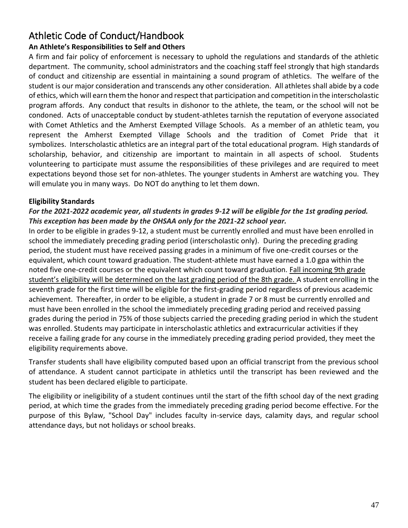# <span id="page-46-0"></span>Athletic Code of Conduct/Handbook

## **An Athlete's Responsibilities to Self and Others**

A firm and fair policy of enforcement is necessary to uphold the regulations and standards of the athletic department. The community, school administrators and the coaching staff feel strongly that high standards of conduct and citizenship are essential in maintaining a sound program of athletics. The welfare of the student is our major consideration and transcends any other consideration. All athletes shall abide by a code of ethics, which will earn them the honor and respect that participation and competition in the interscholastic program affords. Any conduct that results in dishonor to the athlete, the team, or the school will not be condoned. Acts of unacceptable conduct by student-athletes tarnish the reputation of everyone associated with Comet Athletics and the Amherst Exempted Village Schools. As a member of an athletic team, you represent the Amherst Exempted Village Schools and the tradition of Comet Pride that it symbolizes. Interscholastic athletics are an integral part of the total educational program. High standards of scholarship, behavior, and citizenship are important to maintain in all aspects of school. Students volunteering to participate must assume the responsibilities of these privileges and are required to meet expectations beyond those set for non-athletes. The younger students in Amherst are watching you. They will emulate you in many ways. Do NOT do anything to let them down.

## **Eligibility Standards**

## *For the 2021-2022 academic year, all students in grades 9-12 will be eligible for the 1st grading period. This exception has been made by the OHSAA only for the 2021-22 school year.*

In order to be eligible in grades 9-12, a student must be currently enrolled and must have been enrolled in school the immediately preceding grading period (interscholastic only). During the preceding grading period, the student must have received passing grades in a minimum of five one-credit courses or the equivalent, which count toward graduation. The student-athlete must have earned a 1.0 gpa within the noted five one-credit courses or the equivalent which count toward graduation. Fall incoming 9th grade student's eligibility will be determined on the last grading period of the 8th grade. A student enrolling in the seventh grade for the first time will be eligible for the first-grading period regardless of previous academic achievement. Thereafter, in order to be eligible, a student in grade 7 or 8 must be currently enrolled and must have been enrolled in the school the immediately preceding grading period and received passing grades during the period in 75% of those subjects carried the preceding grading period in which the student was enrolled. Students may participate in interscholastic athletics and extracurricular activities if they receive a failing grade for any course in the immediately preceding grading period provided, they meet the eligibility requirements above.

Transfer students shall have eligibility computed based upon an official transcript from the previous school of attendance. A student cannot participate in athletics until the transcript has been reviewed and the student has been declared eligible to participate.

The eligibility or ineligibility of a student continues until the start of the fifth school day of the next grading period, at which time the grades from the immediately preceding grading period become effective. For the purpose of this Bylaw, "School Day" includes faculty in-service days, calamity days, and regular school attendance days, but not holidays or school breaks.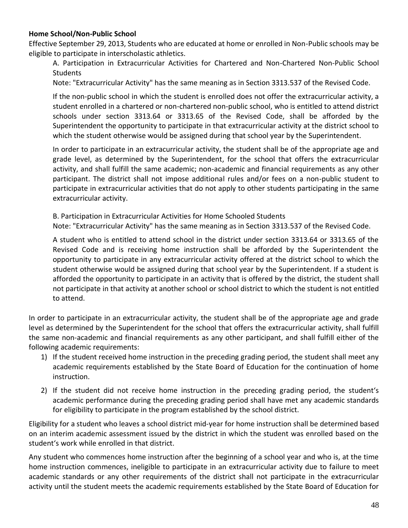#### **Home School/Non-Public School**

Effective September 29, 2013, Students who are educated at home or enrolled in Non-Public schools may be eligible to participate in interscholastic athletics.

A. Participation in Extracurricular Activities for Chartered and Non-Chartered Non-Public School **Students** 

Note: "Extracurricular Activity" has the same meaning as in Section 3313.537 of the Revised Code.

If the non-public school in which the student is enrolled does not offer the extracurricular activity, a student enrolled in a chartered or non-chartered non-public school, who is entitled to attend district schools under section 3313.64 or 3313.65 of the Revised Code, shall be afforded by the Superintendent the opportunity to participate in that extracurricular activity at the district school to which the student otherwise would be assigned during that school year by the Superintendent.

In order to participate in an extracurricular activity, the student shall be of the appropriate age and grade level, as determined by the Superintendent, for the school that offers the extracurricular activity, and shall fulfill the same academic; non-academic and financial requirements as any other participant. The district shall not impose additional rules and/or fees on a non-public student to participate in extracurricular activities that do not apply to other students participating in the same extracurricular activity.

B. Participation in Extracurricular Activities for Home Schooled Students

Note: "Extracurricular Activity" has the same meaning as in Section 3313.537 of the Revised Code.

A student who is entitled to attend school in the district under section 3313.64 or 3313.65 of the Revised Code and is receiving home instruction shall be afforded by the Superintendent the opportunity to participate in any extracurricular activity offered at the district school to which the student otherwise would be assigned during that school year by the Superintendent. If a student is afforded the opportunity to participate in an activity that is offered by the district, the student shall not participate in that activity at another school or school district to which the student is not entitled to attend.

In order to participate in an extracurricular activity, the student shall be of the appropriate age and grade level as determined by the Superintendent for the school that offers the extracurricular activity, shall fulfill the same non-academic and financial requirements as any other participant, and shall fulfill either of the following academic requirements:

- 1) If the student received home instruction in the preceding grading period, the student shall meet any academic requirements established by the State Board of Education for the continuation of home instruction.
- 2) If the student did not receive home instruction in the preceding grading period, the student's academic performance during the preceding grading period shall have met any academic standards for eligibility to participate in the program established by the school district.

Eligibility for a student who leaves a school district mid-year for home instruction shall be determined based on an interim academic assessment issued by the district in which the student was enrolled based on the student's work while enrolled in that district.

Any student who commences home instruction after the beginning of a school year and who is, at the time home instruction commences, ineligible to participate in an extracurricular activity due to failure to meet academic standards or any other requirements of the district shall not participate in the extracurricular activity until the student meets the academic requirements established by the State Board of Education for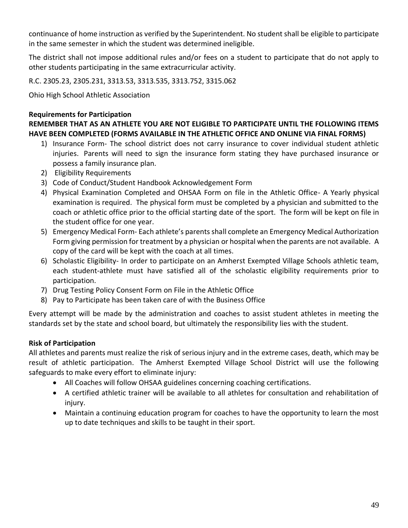continuance of home instruction as verified by the Superintendent. No student shall be eligible to participate in the same semester in which the student was determined ineligible.

The district shall not impose additional rules and/or fees on a student to participate that do not apply to other students participating in the same extracurricular activity.

R.C. 2305.23, 2305.231, 3313.53, 3313.535, 3313.752, 3315.062

Ohio High School Athletic Association

#### **Requirements for Participation**

**REMEMBER THAT AS AN ATHLETE YOU ARE NOT ELIGIBLE TO PARTICIPATE UNTIL THE FOLLOWING ITEMS HAVE BEEN COMPLETED (FORMS AVAILABLE IN THE ATHLETIC OFFICE AND ONLINE VIA FINAL FORMS)**

- 1) Insurance Form- The school district does not carry insurance to cover individual student athletic injuries. Parents will need to sign the insurance form stating they have purchased insurance or possess a family insurance plan.
- 2) Eligibility Requirements
- 3) Code of Conduct/Student Handbook Acknowledgement Form
- 4) Physical Examination Completed and OHSAA Form on file in the Athletic Office- A Yearly physical examination is required. The physical form must be completed by a physician and submitted to the coach or athletic office prior to the official starting date of the sport. The form will be kept on file in the student office for one year.
- 5) Emergency Medical Form- Each athlete's parents shall complete an Emergency Medical Authorization Form giving permission for treatment by a physician or hospital when the parents are not available. A copy of the card will be kept with the coach at all times.
- 6) Scholastic Eligibility- In order to participate on an Amherst Exempted Village Schools athletic team, each student-athlete must have satisfied all of the scholastic eligibility requirements prior to participation.
- 7) Drug Testing Policy Consent Form on File in the Athletic Office
- 8) Pay to Participate has been taken care of with the Business Office

Every attempt will be made by the administration and coaches to assist student athletes in meeting the standards set by the state and school board, but ultimately the responsibility lies with the student.

## **Risk of Participation**

All athletes and parents must realize the risk of serious injury and in the extreme cases, death, which may be result of athletic participation. The Amherst Exempted Village School District will use the following safeguards to make every effort to eliminate injury:

- All Coaches will follow OHSAA guidelines concerning coaching certifications.
- A certified athletic trainer will be available to all athletes for consultation and rehabilitation of injury.
- Maintain a continuing education program for coaches to have the opportunity to learn the most up to date techniques and skills to be taught in their sport.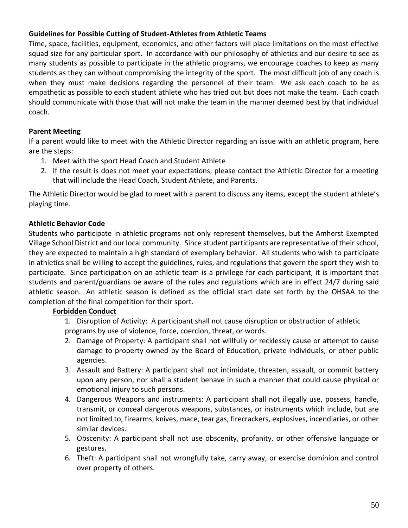#### **Guidelines for Possible Cutting of Student-Athletes from Athletic Teams**

Time, space, facilities, equipment, economics, and other factors will place limitations on the most effective squad size for any particular sport. In accordance with our philosophy of athletics and our desire to see as many students as possible to participate in the athletic programs, we encourage coaches to keep as many students as they can without compromising the integrity of the sport. The most difficult job of any coach is when they must make decisions regarding the personnel of their team. We ask each coach to be as empathetic as possible to each student athlete who has tried out but does not make the team. Each coach should communicate with those that will not make the team in the manner deemed best by that individual coach.

#### **Parent Meeting**

If a parent would like to meet with the Athletic Director regarding an issue with an athletic program, here are the steps:

- 1. Meet with the sport Head Coach and Student Athlete
- 2. If the result is does not meet your expectations, please contact the Athletic Director for a meeting that will include the Head Coach, Student Athlete, and Parents.

The Athletic Director would be glad to meet with a parent to discuss any items, except the student athlete's playing time.

#### **Athletic Behavior Code**

Students who participate in athletic programs not only represent themselves, but the Amherst Exempted Village School District and our local community. Since student participants are representative of their school, they are expected to maintain a high standard of exemplary behavior. All students who wish to participate in athletics shall be willing to accept the guidelines, rules, and regulations that govern the sport they wish to participate. Since participation on an athletic team is a privilege for each participant, it is important that students and parent/guardians be aware of the rules and regulations which are in effect 24/7 during said athletic season. An athletic season is defined as the official start date set forth by the OHSAA to the completion of the final competition for their sport.

#### **Forbidden Conduct**

1. Disruption of Activity: A participant shall not cause disruption or obstruction of athletic programs by use of violence, force, coercion, threat, or words.

- 2. Damage of Property: A participant shall not willfully or recklessly cause or attempt to cause damage to property owned by the Board of Education, private individuals, or other public agencies.
- 3. Assault and Battery: A participant shall not intimidate, threaten, assault, or commit battery upon any person, nor shall a student behave in such a manner that could cause physical or emotional injury to such persons.
- 4. Dangerous Weapons and instruments: A participant shall not illegally use, possess, handle, transmit, or conceal dangerous weapons, substances, or instruments which include, but are not limited to, firearms, knives, mace, tear gas, firecrackers, explosives, incendiaries, or other similar devices.
- 5. Obscenity: A participant shall not use obscenity, profanity, or other offensive language or gestures.
- 6. Theft: A participant shall not wrongfully take, carry away, or exercise dominion and control over property of others.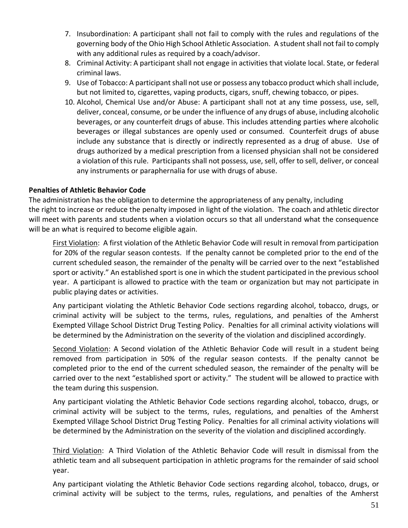- 7. Insubordination: A participant shall not fail to comply with the rules and regulations of the governing body of the Ohio High School Athletic Association. A student shall not fail to comply with any additional rules as required by a coach/advisor.
- 8. Criminal Activity: A participant shall not engage in activities that violate local. State, or federal criminal laws.
- 9. Use of Tobacco: A participant shall not use or possess any tobacco product which shall include, but not limited to, cigarettes, vaping products, cigars, snuff, chewing tobacco, or pipes.
- 10. Alcohol, Chemical Use and/or Abuse: A participant shall not at any time possess, use, sell, deliver, conceal, consume, or be under the influence of any drugs of abuse, including alcoholic beverages, or any counterfeit drugs of abuse. This includes attending parties where alcoholic beverages or illegal substances are openly used or consumed. Counterfeit drugs of abuse include any substance that is directly or indirectly represented as a drug of abuse. Use of drugs authorized by a medical prescription from a licensed physician shall not be considered a violation of this rule. Participants shall not possess, use, sell, offer to sell, deliver, or conceal any instruments or paraphernalia for use with drugs of abuse.

#### **Penalties of Athletic Behavior Code**

The administration has the obligation to determine the appropriateness of any penalty, including the right to increase or reduce the penalty imposed in light of the violation. The coach and athletic director will meet with parents and students when a violation occurs so that all understand what the consequence will be an what is required to become eligible again.

First Violation: A first violation of the Athletic Behavior Code will result in removal from participation for 20% of the regular season contests. If the penalty cannot be completed prior to the end of the current scheduled season, the remainder of the penalty will be carried over to the next "established sport or activity." An established sport is one in which the student participated in the previous school year. A participant is allowed to practice with the team or organization but may not participate in public playing dates or activities.

Any participant violating the Athletic Behavior Code sections regarding alcohol, tobacco, drugs, or criminal activity will be subject to the terms, rules, regulations, and penalties of the Amherst Exempted Village School District Drug Testing Policy. Penalties for all criminal activity violations will be determined by the Administration on the severity of the violation and disciplined accordingly.

Second Violation: A Second violation of the Athletic Behavior Code will result in a student being removed from participation in 50% of the regular season contests. If the penalty cannot be completed prior to the end of the current scheduled season, the remainder of the penalty will be carried over to the next "established sport or activity." The student will be allowed to practice with the team during this suspension.

Any participant violating the Athletic Behavior Code sections regarding alcohol, tobacco, drugs, or criminal activity will be subject to the terms, rules, regulations, and penalties of the Amherst Exempted Village School District Drug Testing Policy. Penalties for all criminal activity violations will be determined by the Administration on the severity of the violation and disciplined accordingly.

Third Violation: A Third Violation of the Athletic Behavior Code will result in dismissal from the athletic team and all subsequent participation in athletic programs for the remainder of said school year.

Any participant violating the Athletic Behavior Code sections regarding alcohol, tobacco, drugs, or criminal activity will be subject to the terms, rules, regulations, and penalties of the Amherst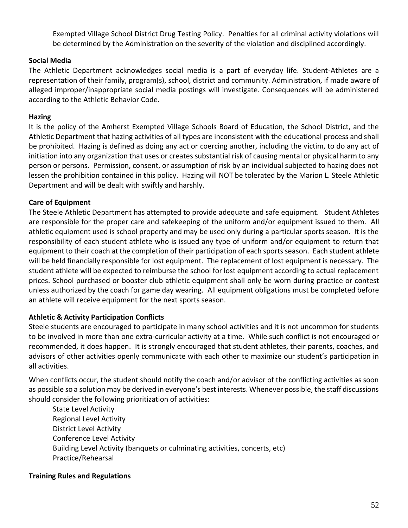Exempted Village School District Drug Testing Policy. Penalties for all criminal activity violations will be determined by the Administration on the severity of the violation and disciplined accordingly.

#### **Social Media**

The Athletic Department acknowledges social media is a part of everyday life. Student-Athletes are a representation of their family, program(s), school, district and community. Administration, if made aware of alleged improper/inappropriate social media postings will investigate. Consequences will be administered according to the Athletic Behavior Code.

#### **Hazing**

It is the policy of the Amherst Exempted Village Schools Board of Education, the School District, and the Athletic Department that hazing activities of all types are inconsistent with the educational process and shall be prohibited. Hazing is defined as doing any act or coercing another, including the victim, to do any act of initiation into any organization that uses or creates substantial risk of causing mental or physical harm to any person or persons. Permission, consent, or assumption of risk by an individual subjected to hazing does not lessen the prohibition contained in this policy. Hazing will NOT be tolerated by the Marion L. Steele Athletic Department and will be dealt with swiftly and harshly.

#### **Care of Equipment**

The Steele Athletic Department has attempted to provide adequate and safe equipment. Student Athletes are responsible for the proper care and safekeeping of the uniform and/or equipment issued to them. All athletic equipment used is school property and may be used only during a particular sports season. It is the responsibility of each student athlete who is issued any type of uniform and/or equipment to return that equipment to their coach at the completion of their participation of each sports season. Each student athlete will be held financially responsible for lost equipment. The replacement of lost equipment is necessary. The student athlete will be expected to reimburse the school for lost equipment according to actual replacement prices. School purchased or booster club athletic equipment shall only be worn during practice or contest unless authorized by the coach for game day wearing. All equipment obligations must be completed before an athlete will receive equipment for the next sports season.

#### **Athletic & Activity Participation Conflicts**

Steele students are encouraged to participate in many school activities and it is not uncommon for students to be involved in more than one extra-curricular activity at a time. While such conflict is not encouraged or recommended, it does happen. It is strongly encouraged that student athletes, their parents, coaches, and advisors of other activities openly communicate with each other to maximize our student's participation in all activities.

When conflicts occur, the student should notify the coach and/or advisor of the conflicting activities as soon as possible so a solution may be derived in everyone's best interests. Whenever possible, the staff discussions should consider the following prioritization of activities:

State Level Activity Regional Level Activity District Level Activity Conference Level Activity Building Level Activity (banquets or culminating activities, concerts, etc) Practice/Rehearsal

#### **Training Rules and Regulations**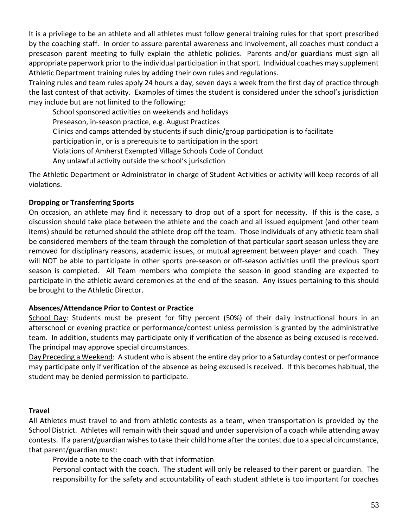It is a privilege to be an athlete and all athletes must follow general training rules for that sport prescribed by the coaching staff. In order to assure parental awareness and involvement, all coaches must conduct a preseason parent meeting to fully explain the athletic policies. Parents and/or guardians must sign all appropriate paperwork prior to the individual participation in that sport. Individual coaches may supplement Athletic Department training rules by adding their own rules and regulations.

Training rules and team rules apply 24 hours a day, seven days a week from the first day of practice through the last contest of that activity. Examples of times the student is considered under the school's jurisdiction may include but are not limited to the following:

School sponsored activities on weekends and holidays Preseason, in-season practice, e.g. August Practices Clinics and camps attended by students if such clinic/group participation is to facilitate participation in, or is a prerequisite to participation in the sport Violations of Amherst Exempted Village Schools Code of Conduct Any unlawful activity outside the school's jurisdiction

The Athletic Department or Administrator in charge of Student Activities or activity will keep records of all violations.

#### **Dropping or Transferring Sports**

On occasion, an athlete may find it necessary to drop out of a sport for necessity. If this is the case, a discussion should take place between the athlete and the coach and all issued equipment (and other team items) should be returned should the athlete drop off the team. Those individuals of any athletic team shall be considered members of the team through the completion of that particular sport season unless they are removed for disciplinary reasons, academic issues, or mutual agreement between player and coach. They will NOT be able to participate in other sports pre-season or off-season activities until the previous sport season is completed. All Team members who complete the season in good standing are expected to participate in the athletic award ceremonies at the end of the season. Any issues pertaining to this should be brought to the Athletic Director.

#### **Absences/Attendance Prior to Contest or Practice**

School Day: Students must be present for fifty percent (50%) of their daily instructional hours in an afterschool or evening practice or performance/contest unless permission is granted by the administrative team. In addition, students may participate only if verification of the absence as being excused is received. The principal may approve special circumstances.

Day Preceding a Weekend: A student who is absent the entire day prior to a Saturday contest or performance may participate only if verification of the absence as being excused is received. If this becomes habitual, the student may be denied permission to participate.

#### **Travel**

All Athletes must travel to and from athletic contests as a team, when transportation is provided by the School District. Athletes will remain with their squad and under supervision of a coach while attending away contests. If a parent/guardian wishes to take their child home after the contest due to a special circumstance, that parent/guardian must:

Provide a note to the coach with that information

Personal contact with the coach. The student will only be released to their parent or guardian. The responsibility for the safety and accountability of each student athlete is too important for coaches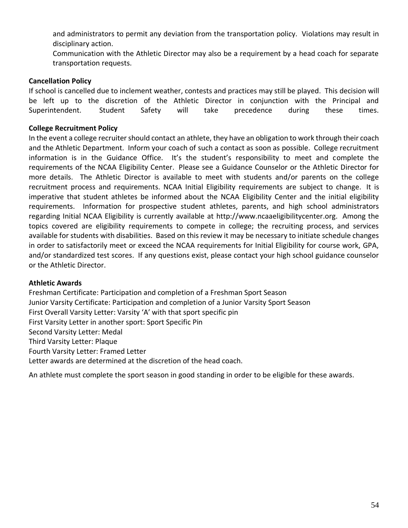and administrators to permit any deviation from the transportation policy. Violations may result in disciplinary action.

Communication with the Athletic Director may also be a requirement by a head coach for separate transportation requests.

#### **Cancellation Policy**

If school is cancelled due to inclement weather, contests and practices may still be played. This decision will be left up to the discretion of the Athletic Director in conjunction with the Principal and Superintendent. Student Safety will take precedence during these times.

#### **College Recruitment Policy**

In the event a college recruiter should contact an athlete, they have an obligation to work through their coach and the Athletic Department. Inform your coach of such a contact as soon as possible. College recruitment information is in the Guidance Office. It's the student's responsibility to meet and complete the requirements of the NCAA Eligibility Center. Please see a Guidance Counselor or the Athletic Director for more details. The Athletic Director is available to meet with students and/or parents on the college recruitment process and requirements. NCAA Initial Eligibility requirements are subject to change. It is imperative that student athletes be informed about the NCAA Eligibility Center and the initial eligibility requirements. Information for prospective student athletes, parents, and high school administrators regarding Initial NCAA Eligibility is currently available at http://www.ncaaeligibilitycenter.org. Among the topics covered are eligibility requirements to compete in college; the recruiting process, and services available for students with disabilities. Based on this review it may be necessary to initiate schedule changes in order to satisfactorily meet or exceed the NCAA requirements for Initial Eligibility for course work, GPA, and/or standardized test scores. If any questions exist, please contact your high school guidance counselor or the Athletic Director.

#### **Athletic Awards**

Freshman Certificate: Participation and completion of a Freshman Sport Season Junior Varsity Certificate: Participation and completion of a Junior Varsity Sport Season First Overall Varsity Letter: Varsity 'A' with that sport specific pin First Varsity Letter in another sport: Sport Specific Pin Second Varsity Letter: Medal Third Varsity Letter: Plaque Fourth Varsity Letter: Framed Letter Letter awards are determined at the discretion of the head coach.

An athlete must complete the sport season in good standing in order to be eligible for these awards.